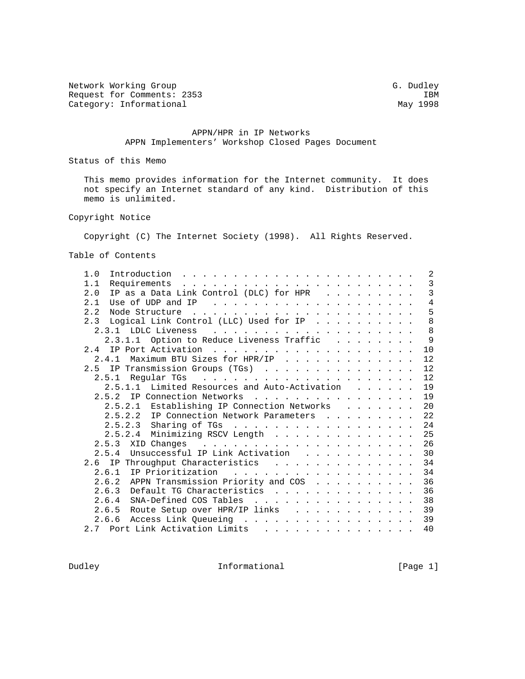Network Working Group G. Dudley Request for Comments: 2353 IBM<br>Category: Informational May 1998 Category: Informational

## APPN/HPR in IP Networks APPN Implementers' Workshop Closed Pages Document

Status of this Memo

 This memo provides information for the Internet community. It does not specify an Internet standard of any kind. Distribution of this memo is unlimited.

Copyright Notice

Copyright (C) The Internet Society (1998). All Rights Reserved.

Table of Contents

| 1.0                                                                                                                                                                                                                                                   |  |  |  | 2            |
|-------------------------------------------------------------------------------------------------------------------------------------------------------------------------------------------------------------------------------------------------------|--|--|--|--------------|
| 1.1                                                                                                                                                                                                                                                   |  |  |  | 3            |
| IP as a Data Link Control (DLC) for HPR<br>2.0                                                                                                                                                                                                        |  |  |  | $\mathbf{3}$ |
| 2.1                                                                                                                                                                                                                                                   |  |  |  | 4            |
| 2.2                                                                                                                                                                                                                                                   |  |  |  | 5            |
| Logical Link Control (LLC) Used for IP<br>2.3                                                                                                                                                                                                         |  |  |  | 8            |
| 2.3.1 LDLC Liveness<br>and the contract of the contract of the contract of the contract of the contract of the contract of the contract of the contract of the contract of the contract of the contract of the contract of the contract of the contra |  |  |  | 8            |
| 2.3.1.1 Option to Reduce Liveness Traffic                                                                                                                                                                                                             |  |  |  | 9            |
|                                                                                                                                                                                                                                                       |  |  |  | 10           |
| Maximum BTU Sizes for HPR/IP<br>2.4.1                                                                                                                                                                                                                 |  |  |  | 12           |
| 2.5 IP Transmission Groups (TGs)                                                                                                                                                                                                                      |  |  |  | 12           |
|                                                                                                                                                                                                                                                       |  |  |  | 12           |
| 2.5.1.1 Limited Resources and Auto-Activation                                                                                                                                                                                                         |  |  |  | 19           |
| 2.5.2 IP Connection Networks                                                                                                                                                                                                                          |  |  |  | 19           |
| 2.5.2.1 Establishing IP Connection Networks                                                                                                                                                                                                           |  |  |  | 20           |
| 2.5.2.2 IP Connection Network Parameters                                                                                                                                                                                                              |  |  |  | 22           |
| 2.5.2.3 Sharing of TGs                                                                                                                                                                                                                                |  |  |  | 24           |
| 2.5.2.4 Minimizing RSCV Length                                                                                                                                                                                                                        |  |  |  | 25           |
|                                                                                                                                                                                                                                                       |  |  |  | 26           |
| 2.5.4 Unsuccessful IP Link Activation                                                                                                                                                                                                                 |  |  |  | 30           |
|                                                                                                                                                                                                                                                       |  |  |  | 34           |
| 2.6.1 IP Prioritization<br>.                                                                                                                                                                                                                          |  |  |  | 34           |
| 2.6.2 APPN Transmission Priority and COS                                                                                                                                                                                                              |  |  |  | 36           |
| 2.6.3 Default TG Characteristics                                                                                                                                                                                                                      |  |  |  | 36           |
| 2.6.4 SNA-Defined COS Tables                                                                                                                                                                                                                          |  |  |  | 38           |
| 2.6.5 Route Setup over HPR/IP links                                                                                                                                                                                                                   |  |  |  | 39           |
| 2.6.6 Access Link Queueing                                                                                                                                                                                                                            |  |  |  | 39           |
| 2.7 Port Link Activation Limits<br>.                                                                                                                                                                                                                  |  |  |  | 40           |
|                                                                                                                                                                                                                                                       |  |  |  |              |

Dudley **Informational** [Page 1]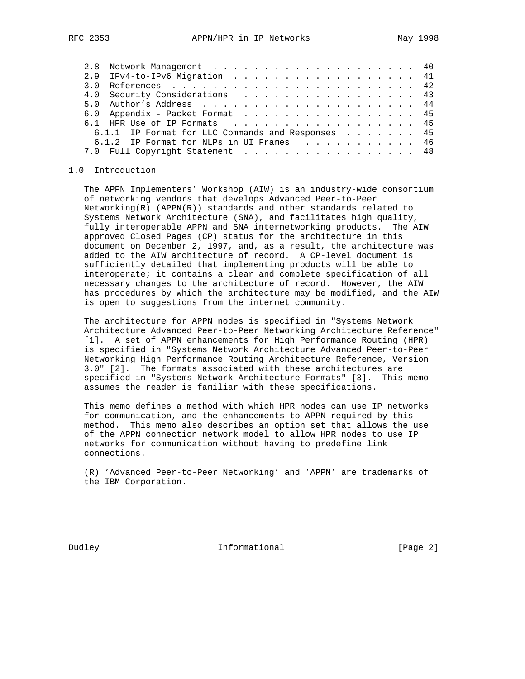| ___ |  |  |  |
|-----|--|--|--|
|     |  |  |  |
|     |  |  |  |
|     |  |  |  |
|     |  |  |  |
|     |  |  |  |
|     |  |  |  |
|     |  |  |  |
|     |  |  |  |
|     |  |  |  |
|     |  |  |  |
|     |  |  |  |
|     |  |  |  |
|     |  |  |  |
|     |  |  |  |

| 2.9 IPv4-to-IPv6 Migration 41                     |  |
|---------------------------------------------------|--|
|                                                   |  |
| 4.0 Security Considerations 43                    |  |
|                                                   |  |
| 6.0 Appendix - Packet Format 45                   |  |
| 6.1 HPR Use of IP Formats 45                      |  |
| 6.1.1 IP Format for LLC Commands and Responses 45 |  |
| 6.1.2 IP Format for NLPs in UI Frames 46          |  |
| 7.0 Full Copyright Statement 48                   |  |

#### 1.0 Introduction

 The APPN Implementers' Workshop (AIW) is an industry-wide consortium of networking vendors that develops Advanced Peer-to-Peer Networking(R) (APPN(R)) standards and other standards related to Systems Network Architecture (SNA), and facilitates high quality, fully interoperable APPN and SNA internetworking products. The AIW approved Closed Pages (CP) status for the architecture in this document on December 2, 1997, and, as a result, the architecture was added to the AIW architecture of record. A CP-level document is sufficiently detailed that implementing products will be able to interoperate; it contains a clear and complete specification of all necessary changes to the architecture of record. However, the AIW has procedures by which the architecture may be modified, and the AIW is open to suggestions from the internet community.

 The architecture for APPN nodes is specified in "Systems Network Architecture Advanced Peer-to-Peer Networking Architecture Reference" [1]. A set of APPN enhancements for High Performance Routing (HPR) is specified in "Systems Network Architecture Advanced Peer-to-Peer Networking High Performance Routing Architecture Reference, Version 3.0" [2]. The formats associated with these architectures are specified in "Systems Network Architecture Formats" [3]. This memo assumes the reader is familiar with these specifications.

 This memo defines a method with which HPR nodes can use IP networks for communication, and the enhancements to APPN required by this method. This memo also describes an option set that allows the use of the APPN connection network model to allow HPR nodes to use IP networks for communication without having to predefine link connections.

 (R) 'Advanced Peer-to-Peer Networking' and 'APPN' are trademarks of the IBM Corporation.

Dudley **Informational Informational** [Page 2]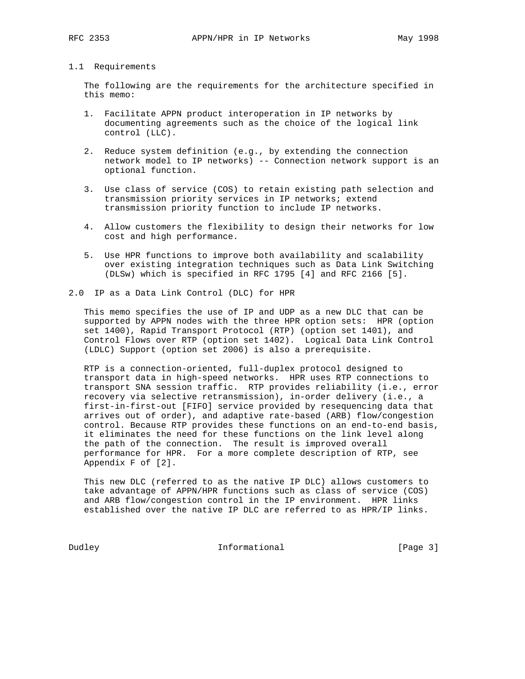## 1.1 Requirements

 The following are the requirements for the architecture specified in this memo:

- 1. Facilitate APPN product interoperation in IP networks by documenting agreements such as the choice of the logical link control (LLC).
- 2. Reduce system definition (e.g., by extending the connection network model to IP networks) -- Connection network support is an optional function.
- 3. Use class of service (COS) to retain existing path selection and transmission priority services in IP networks; extend transmission priority function to include IP networks.
- 4. Allow customers the flexibility to design their networks for low cost and high performance.
- 5. Use HPR functions to improve both availability and scalability over existing integration techniques such as Data Link Switching (DLSw) which is specified in RFC 1795 [4] and RFC 2166 [5].
- 2.0 IP as a Data Link Control (DLC) for HPR

 This memo specifies the use of IP and UDP as a new DLC that can be supported by APPN nodes with the three HPR option sets: HPR (option set 1400), Rapid Transport Protocol (RTP) (option set 1401), and Control Flows over RTP (option set 1402). Logical Data Link Control (LDLC) Support (option set 2006) is also a prerequisite.

 RTP is a connection-oriented, full-duplex protocol designed to transport data in high-speed networks. HPR uses RTP connections to transport SNA session traffic. RTP provides reliability (i.e., error recovery via selective retransmission), in-order delivery (i.e., a first-in-first-out [FIFO] service provided by resequencing data that arrives out of order), and adaptive rate-based (ARB) flow/congestion control. Because RTP provides these functions on an end-to-end basis, it eliminates the need for these functions on the link level along the path of the connection. The result is improved overall performance for HPR. For a more complete description of RTP, see Appendix F of [2].

 This new DLC (referred to as the native IP DLC) allows customers to take advantage of APPN/HPR functions such as class of service (COS) and ARB flow/congestion control in the IP environment. HPR links established over the native IP DLC are referred to as HPR/IP links.

Dudley **Informational** [Page 3]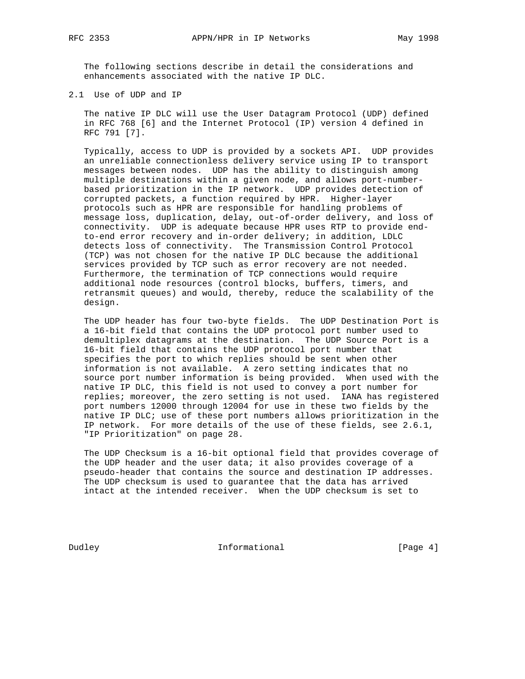The following sections describe in detail the considerations and enhancements associated with the native IP DLC.

2.1 Use of UDP and IP

 The native IP DLC will use the User Datagram Protocol (UDP) defined in RFC 768 [6] and the Internet Protocol (IP) version 4 defined in RFC 791 [7].

 Typically, access to UDP is provided by a sockets API. UDP provides an unreliable connectionless delivery service using IP to transport messages between nodes. UDP has the ability to distinguish among multiple destinations within a given node, and allows port-number based prioritization in the IP network. UDP provides detection of corrupted packets, a function required by HPR. Higher-layer protocols such as HPR are responsible for handling problems of message loss, duplication, delay, out-of-order delivery, and loss of connectivity. UDP is adequate because HPR uses RTP to provide end to-end error recovery and in-order delivery; in addition, LDLC detects loss of connectivity. The Transmission Control Protocol (TCP) was not chosen for the native IP DLC because the additional services provided by TCP such as error recovery are not needed. Furthermore, the termination of TCP connections would require additional node resources (control blocks, buffers, timers, and retransmit queues) and would, thereby, reduce the scalability of the design.

 The UDP header has four two-byte fields. The UDP Destination Port is a 16-bit field that contains the UDP protocol port number used to demultiplex datagrams at the destination. The UDP Source Port is a 16-bit field that contains the UDP protocol port number that specifies the port to which replies should be sent when other information is not available. A zero setting indicates that no source port number information is being provided. When used with the native IP DLC, this field is not used to convey a port number for replies; moreover, the zero setting is not used. IANA has registered port numbers 12000 through 12004 for use in these two fields by the native IP DLC; use of these port numbers allows prioritization in the IP network. For more details of the use of these fields, see 2.6.1, "IP Prioritization" on page 28.

 The UDP Checksum is a 16-bit optional field that provides coverage of the UDP header and the user data; it also provides coverage of a pseudo-header that contains the source and destination IP addresses. The UDP checksum is used to guarantee that the data has arrived intact at the intended receiver. When the UDP checksum is set to

Dudley **Informational** [Page 4]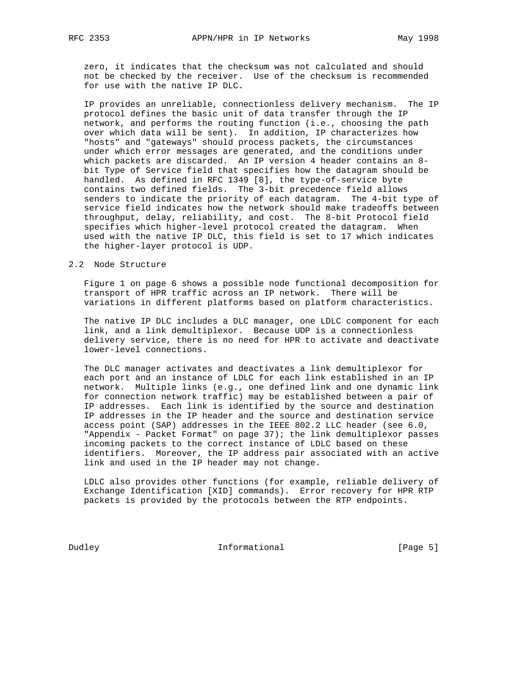zero, it indicates that the checksum was not calculated and should not be checked by the receiver. Use of the checksum is recommended for use with the native IP DLC.

 IP provides an unreliable, connectionless delivery mechanism. The IP protocol defines the basic unit of data transfer through the IP network, and performs the routing function (i.e., choosing the path over which data will be sent). In addition, IP characterizes how "hosts" and "gateways" should process packets, the circumstances under which error messages are generated, and the conditions under which packets are discarded. An IP version 4 header contains an 8 bit Type of Service field that specifies how the datagram should be handled. As defined in RFC 1349 [8], the type-of-service byte contains two defined fields. The 3-bit precedence field allows senders to indicate the priority of each datagram. The 4-bit type of service field indicates how the network should make tradeoffs between throughput, delay, reliability, and cost. The 8-bit Protocol field specifies which higher-level protocol created the datagram. When used with the native IP DLC, this field is set to 17 which indicates the higher-layer protocol is UDP.

### 2.2 Node Structure

 Figure 1 on page 6 shows a possible node functional decomposition for transport of HPR traffic across an IP network. There will be variations in different platforms based on platform characteristics.

 The native IP DLC includes a DLC manager, one LDLC component for each link, and a link demultiplexor. Because UDP is a connectionless delivery service, there is no need for HPR to activate and deactivate lower-level connections.

 The DLC manager activates and deactivates a link demultiplexor for each port and an instance of LDLC for each link established in an IP network. Multiple links (e.g., one defined link and one dynamic link for connection network traffic) may be established between a pair of IP addresses. Each link is identified by the source and destination IP addresses in the IP header and the source and destination service access point (SAP) addresses in the IEEE 802.2 LLC header (see 6.0, "Appendix - Packet Format" on page 37); the link demultiplexor passes incoming packets to the correct instance of LDLC based on these identifiers. Moreover, the IP address pair associated with an active link and used in the IP header may not change.

 LDLC also provides other functions (for example, reliable delivery of Exchange Identification [XID] commands). Error recovery for HPR RTP packets is provided by the protocols between the RTP endpoints.

Dudley **Informational** [Page 5]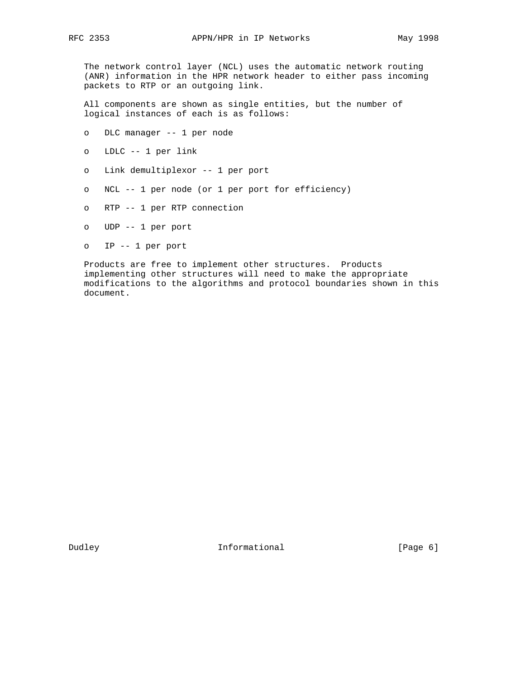The network control layer (NCL) uses the automatic network routing (ANR) information in the HPR network header to either pass incoming packets to RTP or an outgoing link.

 All components are shown as single entities, but the number of logical instances of each is as follows:

- o DLC manager -- 1 per node
- o LDLC -- 1 per link
- o Link demultiplexor -- 1 per port
- o NCL -- 1 per node (or 1 per port for efficiency)
- o RTP -- 1 per RTP connection
- o UDP -- 1 per port
- o IP -- 1 per port

 Products are free to implement other structures. Products implementing other structures will need to make the appropriate modifications to the algorithms and protocol boundaries shown in this document.

Dudley **Informational** [Page 6]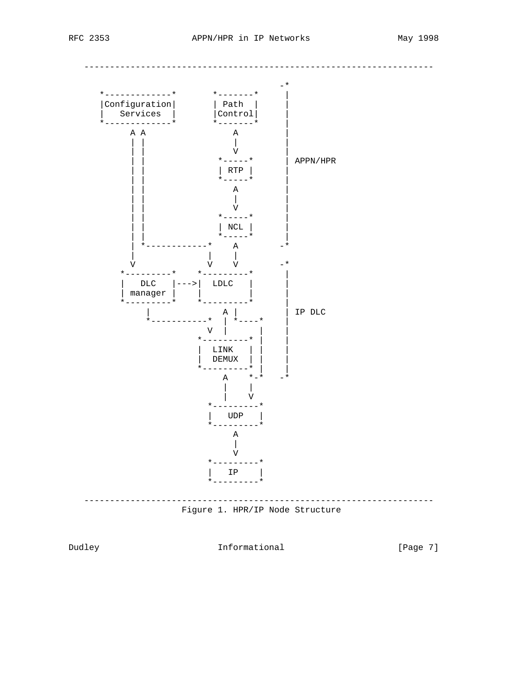

Dudley

Informational

[Page 7]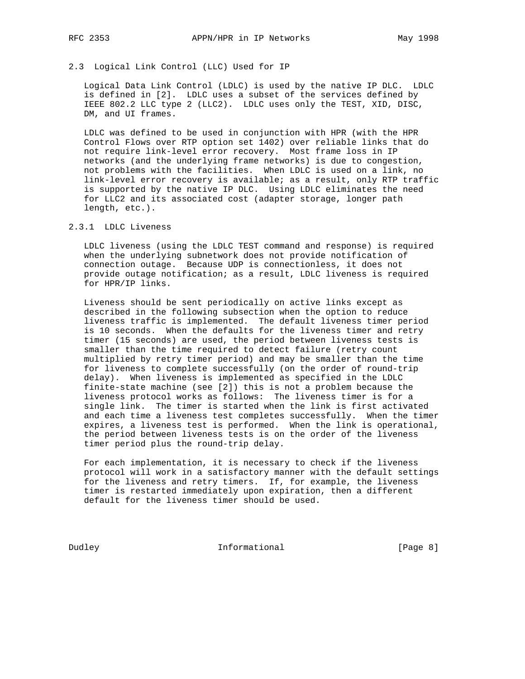# 2.3 Logical Link Control (LLC) Used for IP

 Logical Data Link Control (LDLC) is used by the native IP DLC. LDLC is defined in [2]. LDLC uses a subset of the services defined by IEEE 802.2 LLC type 2 (LLC2). LDLC uses only the TEST, XID, DISC, DM, and UI frames.

 LDLC was defined to be used in conjunction with HPR (with the HPR Control Flows over RTP option set 1402) over reliable links that do not require link-level error recovery. Most frame loss in IP networks (and the underlying frame networks) is due to congestion, not problems with the facilities. When LDLC is used on a link, no link-level error recovery is available; as a result, only RTP traffic is supported by the native IP DLC. Using LDLC eliminates the need for LLC2 and its associated cost (adapter storage, longer path length, etc.).

## 2.3.1 LDLC Liveness

 LDLC liveness (using the LDLC TEST command and response) is required when the underlying subnetwork does not provide notification of connection outage. Because UDP is connectionless, it does not provide outage notification; as a result, LDLC liveness is required for HPR/IP links.

 Liveness should be sent periodically on active links except as described in the following subsection when the option to reduce liveness traffic is implemented. The default liveness timer period is 10 seconds. When the defaults for the liveness timer and retry timer (15 seconds) are used, the period between liveness tests is smaller than the time required to detect failure (retry count multiplied by retry timer period) and may be smaller than the time for liveness to complete successfully (on the order of round-trip delay). When liveness is implemented as specified in the LDLC finite-state machine (see [2]) this is not a problem because the liveness protocol works as follows: The liveness timer is for a single link. The timer is started when the link is first activated and each time a liveness test completes successfully. When the timer expires, a liveness test is performed. When the link is operational, the period between liveness tests is on the order of the liveness timer period plus the round-trip delay.

 For each implementation, it is necessary to check if the liveness protocol will work in a satisfactory manner with the default settings for the liveness and retry timers. If, for example, the liveness timer is restarted immediately upon expiration, then a different default for the liveness timer should be used.

Dudley **Informational** [Page 8]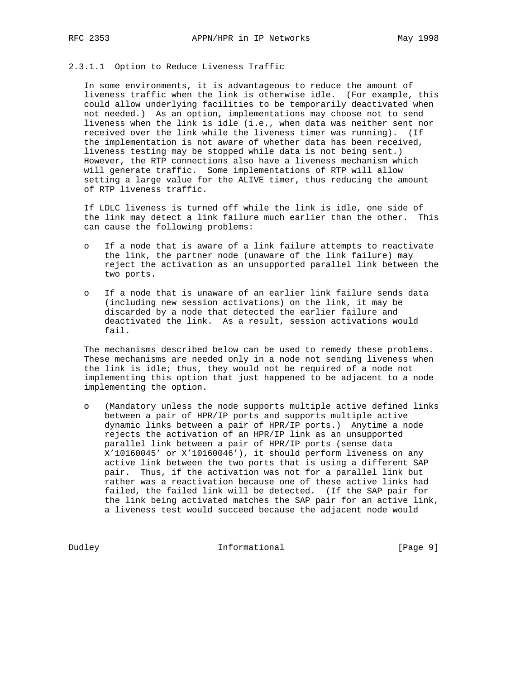#### 2.3.1.1 Option to Reduce Liveness Traffic

 In some environments, it is advantageous to reduce the amount of liveness traffic when the link is otherwise idle. (For example, this could allow underlying facilities to be temporarily deactivated when not needed.) As an option, implementations may choose not to send liveness when the link is idle (i.e., when data was neither sent nor received over the link while the liveness timer was running). (If the implementation is not aware of whether data has been received, liveness testing may be stopped while data is not being sent.) However, the RTP connections also have a liveness mechanism which will generate traffic. Some implementations of RTP will allow setting a large value for the ALIVE timer, thus reducing the amount of RTP liveness traffic.

 If LDLC liveness is turned off while the link is idle, one side of the link may detect a link failure much earlier than the other. This can cause the following problems:

- o If a node that is aware of a link failure attempts to reactivate the link, the partner node (unaware of the link failure) may reject the activation as an unsupported parallel link between the two ports.
- o If a node that is unaware of an earlier link failure sends data (including new session activations) on the link, it may be discarded by a node that detected the earlier failure and deactivated the link. As a result, session activations would fail.

 The mechanisms described below can be used to remedy these problems. These mechanisms are needed only in a node not sending liveness when the link is idle; thus, they would not be required of a node not implementing this option that just happened to be adjacent to a node implementing the option.

 o (Mandatory unless the node supports multiple active defined links between a pair of HPR/IP ports and supports multiple active dynamic links between a pair of HPR/IP ports.) Anytime a node rejects the activation of an HPR/IP link as an unsupported parallel link between a pair of HPR/IP ports (sense data X'10160045' or X'10160046'), it should perform liveness on any active link between the two ports that is using a different SAP pair. Thus, if the activation was not for a parallel link but rather was a reactivation because one of these active links had failed, the failed link will be detected. (If the SAP pair for the link being activated matches the SAP pair for an active link, a liveness test would succeed because the adjacent node would

Dudley **Informational** [Page 9]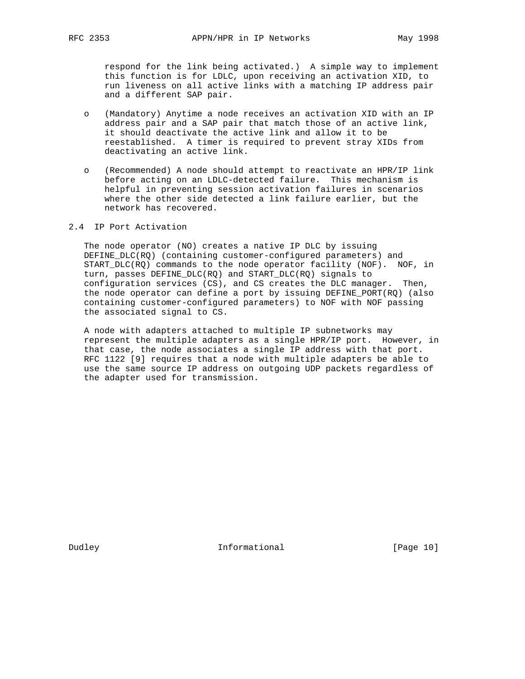respond for the link being activated.) A simple way to implement this function is for LDLC, upon receiving an activation XID, to run liveness on all active links with a matching IP address pair and a different SAP pair.

- o (Mandatory) Anytime a node receives an activation XID with an IP address pair and a SAP pair that match those of an active link, it should deactivate the active link and allow it to be reestablished. A timer is required to prevent stray XIDs from deactivating an active link.
- o (Recommended) A node should attempt to reactivate an HPR/IP link before acting on an LDLC-detected failure. This mechanism is helpful in preventing session activation failures in scenarios where the other side detected a link failure earlier, but the network has recovered.

## 2.4 IP Port Activation

 The node operator (NO) creates a native IP DLC by issuing DEFINE\_DLC(RQ) (containing customer-configured parameters) and START\_DLC(RQ) commands to the node operator facility (NOF). NOF, in turn, passes DEFINE\_DLC(RQ) and START\_DLC(RQ) signals to configuration services (CS), and CS creates the DLC manager. Then, the node operator can define a port by issuing DEFINE\_PORT(RQ) (also containing customer-configured parameters) to NOF with NOF passing the associated signal to CS.

 A node with adapters attached to multiple IP subnetworks may represent the multiple adapters as a single HPR/IP port. However, in that case, the node associates a single IP address with that port. RFC 1122 [9] requires that a node with multiple adapters be able to use the same source IP address on outgoing UDP packets regardless of the adapter used for transmission.

Dudley **Informational** [Page 10]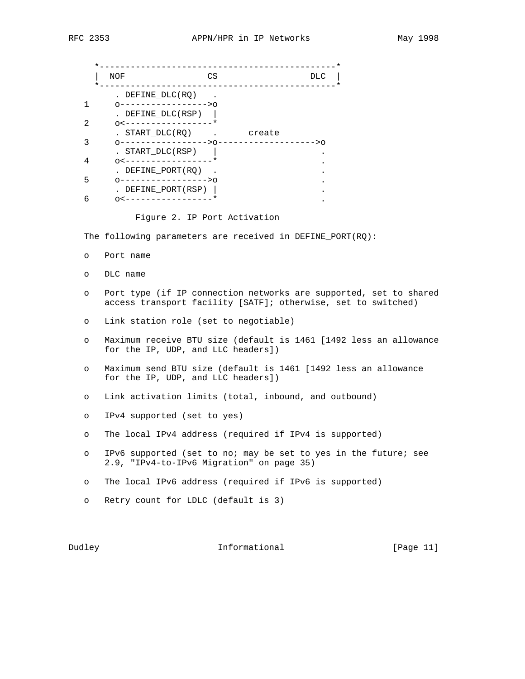|    | <b>NOF</b>                                                | CS |        | <b>DLC</b> |
|----|-----------------------------------------------------------|----|--------|------------|
|    | . DEFINE DLC(RQ)<br>--------------->0                     |    |        |            |
| 2. | DEFINE DLC(RSP)<br>$\cap$ $\lt$ $-$                       |    |        |            |
|    | START DLC(RQ)                                             |    | create |            |
|    | --------------->೧<br>. START DLC(RSP)                     |    |        |            |
| 4  | $0 < - - - - -$                                           |    |        |            |
| 5  | DEFINE PORT(RO)<br>∩−−−−−−−−−−−−−−−>∩<br>DEFINE PORT(RSP) |    |        |            |
| 6  |                                                           |    |        |            |
|    |                                                           |    |        |            |

Figure 2. IP Port Activation

The following parameters are received in DEFINE\_PORT(RQ):

- o Port name
- o DLC name
- o Port type (if IP connection networks are supported, set to shared access transport facility [SATF]; otherwise, set to switched)
- o Link station role (set to negotiable)
- o Maximum receive BTU size (default is 1461 [1492 less an allowance for the IP, UDP, and LLC headers])
- o Maximum send BTU size (default is 1461 [1492 less an allowance for the IP, UDP, and LLC headers])
- o Link activation limits (total, inbound, and outbound)
- o IPv4 supported (set to yes)
- o The local IPv4 address (required if IPv4 is supported)
- o IPv6 supported (set to no; may be set to yes in the future; see 2.9, "IPv4-to-IPv6 Migration" on page 35)
- o The local IPv6 address (required if IPv6 is supported)
- o Retry count for LDLC (default is 3)

Dudley **Informational** [Page 11]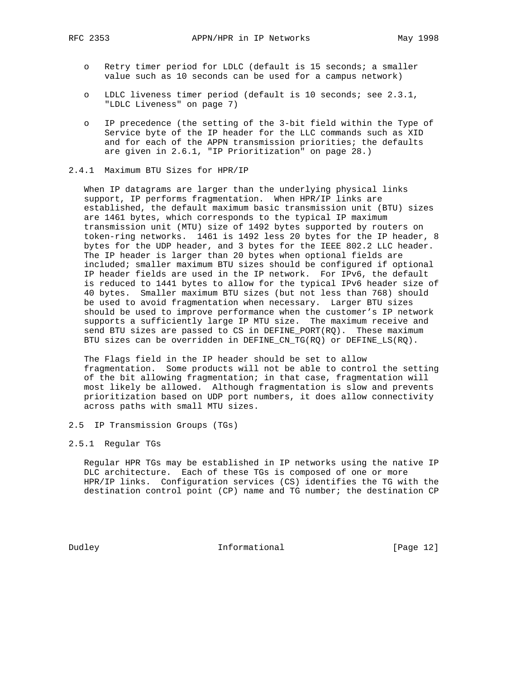- o Retry timer period for LDLC (default is 15 seconds; a smaller value such as 10 seconds can be used for a campus network)
- o LDLC liveness timer period (default is 10 seconds; see 2.3.1, "LDLC Liveness" on page 7)
- o IP precedence (the setting of the 3-bit field within the Type of Service byte of the IP header for the LLC commands such as XID and for each of the APPN transmission priorities; the defaults are given in 2.6.1, "IP Prioritization" on page 28.)

#### 2.4.1 Maximum BTU Sizes for HPR/IP

 When IP datagrams are larger than the underlying physical links support, IP performs fragmentation. When HPR/IP links are established, the default maximum basic transmission unit (BTU) sizes are 1461 bytes, which corresponds to the typical IP maximum transmission unit (MTU) size of 1492 bytes supported by routers on token-ring networks. 1461 is 1492 less 20 bytes for the IP header, 8 bytes for the UDP header, and 3 bytes for the IEEE 802.2 LLC header. The IP header is larger than 20 bytes when optional fields are included; smaller maximum BTU sizes should be configured if optional IP header fields are used in the IP network. For IPv6, the default is reduced to 1441 bytes to allow for the typical IPv6 header size of 40 bytes. Smaller maximum BTU sizes (but not less than 768) should be used to avoid fragmentation when necessary. Larger BTU sizes should be used to improve performance when the customer's IP network supports a sufficiently large IP MTU size. The maximum receive and send BTU sizes are passed to CS in DEFINE\_PORT(RQ). These maximum BTU sizes can be overridden in DEFINE\_CN\_TG(RQ) or DEFINE\_LS(RQ).

 The Flags field in the IP header should be set to allow fragmentation. Some products will not be able to control the setting of the bit allowing fragmentation; in that case, fragmentation will most likely be allowed. Although fragmentation is slow and prevents prioritization based on UDP port numbers, it does allow connectivity across paths with small MTU sizes.

2.5 IP Transmission Groups (TGs)

## 2.5.1 Regular TGs

 Regular HPR TGs may be established in IP networks using the native IP DLC architecture. Each of these TGs is composed of one or more HPR/IP links. Configuration services (CS) identifies the TG with the destination control point (CP) name and TG number; the destination CP

Dudley **Informational** [Page 12]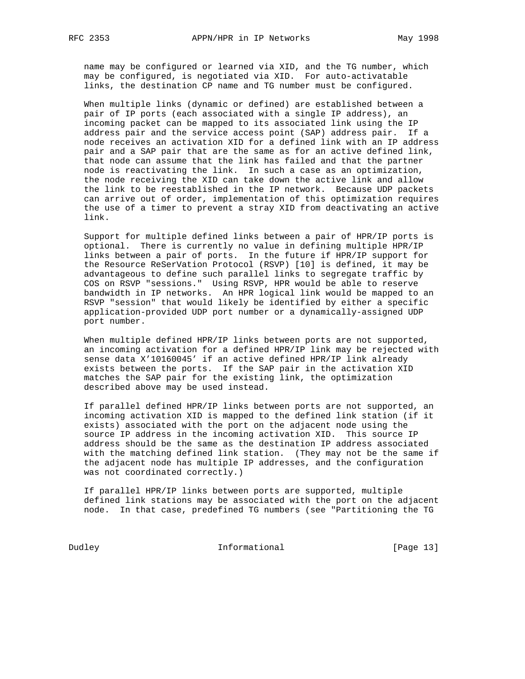name may be configured or learned via XID, and the TG number, which may be configured, is negotiated via XID. For auto-activatable links, the destination CP name and TG number must be configured.

 When multiple links (dynamic or defined) are established between a pair of IP ports (each associated with a single IP address), an incoming packet can be mapped to its associated link using the IP address pair and the service access point (SAP) address pair. If a node receives an activation XID for a defined link with an IP address pair and a SAP pair that are the same as for an active defined link, that node can assume that the link has failed and that the partner node is reactivating the link. In such a case as an optimization, the node receiving the XID can take down the active link and allow the link to be reestablished in the IP network. Because UDP packets can arrive out of order, implementation of this optimization requires the use of a timer to prevent a stray XID from deactivating an active link.

 Support for multiple defined links between a pair of HPR/IP ports is optional. There is currently no value in defining multiple HPR/IP links between a pair of ports. In the future if HPR/IP support for the Resource ReSerVation Protocol (RSVP) [10] is defined, it may be advantageous to define such parallel links to segregate traffic by COS on RSVP "sessions." Using RSVP, HPR would be able to reserve bandwidth in IP networks. An HPR logical link would be mapped to an RSVP "session" that would likely be identified by either a specific application-provided UDP port number or a dynamically-assigned UDP port number.

 When multiple defined HPR/IP links between ports are not supported, an incoming activation for a defined HPR/IP link may be rejected with sense data X'10160045' if an active defined HPR/IP link already exists between the ports. If the SAP pair in the activation XID matches the SAP pair for the existing link, the optimization described above may be used instead.

 If parallel defined HPR/IP links between ports are not supported, an incoming activation XID is mapped to the defined link station (if it exists) associated with the port on the adjacent node using the source IP address in the incoming activation XID. This source IP address should be the same as the destination IP address associated with the matching defined link station. (They may not be the same if the adjacent node has multiple IP addresses, and the configuration was not coordinated correctly.)

 If parallel HPR/IP links between ports are supported, multiple defined link stations may be associated with the port on the adjacent node. In that case, predefined TG numbers (see "Partitioning the TG

Dudley **Informational** [Page 13]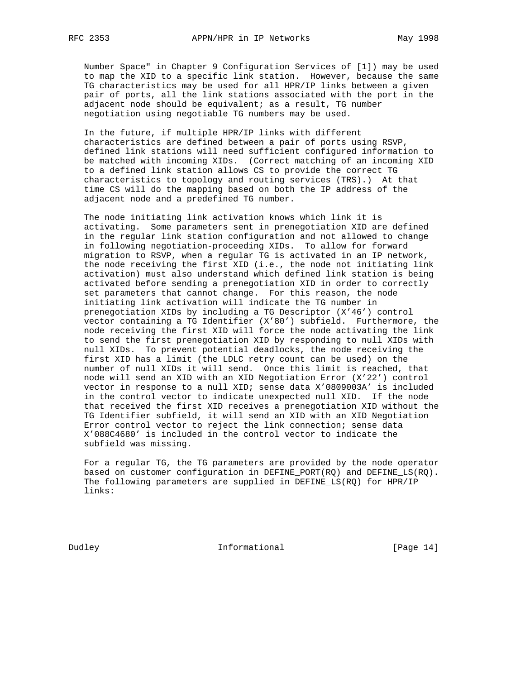Number Space" in Chapter 9 Configuration Services of [1]) may be used to map the XID to a specific link station. However, because the same TG characteristics may be used for all HPR/IP links between a given pair of ports, all the link stations associated with the port in the adjacent node should be equivalent; as a result, TG number negotiation using negotiable TG numbers may be used.

 In the future, if multiple HPR/IP links with different characteristics are defined between a pair of ports using RSVP, defined link stations will need sufficient configured information to be matched with incoming XIDs. (Correct matching of an incoming XID to a defined link station allows CS to provide the correct TG characteristics to topology and routing services (TRS).) At that time CS will do the mapping based on both the IP address of the adjacent node and a predefined TG number.

 The node initiating link activation knows which link it is activating. Some parameters sent in prenegotiation XID are defined in the regular link station configuration and not allowed to change in following negotiation-proceeding XIDs. To allow for forward migration to RSVP, when a regular TG is activated in an IP network, the node receiving the first XID (i.e., the node not initiating link activation) must also understand which defined link station is being activated before sending a prenegotiation XID in order to correctly set parameters that cannot change. For this reason, the node initiating link activation will indicate the TG number in prenegotiation XIDs by including a TG Descriptor (X'46') control vector containing a TG Identifier (X'80') subfield. Furthermore, the node receiving the first XID will force the node activating the link to send the first prenegotiation XID by responding to null XIDs with null XIDs. To prevent potential deadlocks, the node receiving the first XID has a limit (the LDLC retry count can be used) on the number of null XIDs it will send. Once this limit is reached, that node will send an XID with an XID Negotiation Error (X'22') control vector in response to a null XID; sense data X'0809003A' is included in the control vector to indicate unexpected null XID. If the node that received the first XID receives a prenegotiation XID without the TG Identifier subfield, it will send an XID with an XID Negotiation Error control vector to reject the link connection; sense data X'088C4680' is included in the control vector to indicate the subfield was missing.

 For a regular TG, the TG parameters are provided by the node operator based on customer configuration in DEFINE\_PORT(RQ) and DEFINE\_LS(RQ). The following parameters are supplied in DEFINE\_LS(RQ) for HPR/IP links:

Dudley **Informational** [Page 14]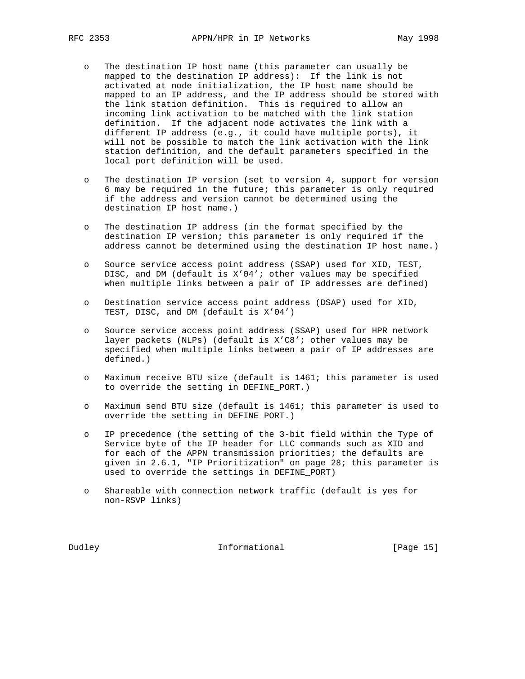- o The destination IP host name (this parameter can usually be mapped to the destination IP address): If the link is not activated at node initialization, the IP host name should be mapped to an IP address, and the IP address should be stored with the link station definition. This is required to allow an incoming link activation to be matched with the link station definition. If the adjacent node activates the link with a different IP address (e.g., it could have multiple ports), it will not be possible to match the link activation with the link station definition, and the default parameters specified in the local port definition will be used.
- o The destination IP version (set to version 4, support for version 6 may be required in the future; this parameter is only required if the address and version cannot be determined using the destination IP host name.)
- o The destination IP address (in the format specified by the destination IP version; this parameter is only required if the address cannot be determined using the destination IP host name.)
- o Source service access point address (SSAP) used for XID, TEST, DISC, and DM (default is X'04'; other values may be specified when multiple links between a pair of IP addresses are defined)
- o Destination service access point address (DSAP) used for XID, TEST, DISC, and DM (default is X'04')
- o Source service access point address (SSAP) used for HPR network layer packets (NLPs) (default is X'C8'; other values may be specified when multiple links between a pair of IP addresses are defined.)
- o Maximum receive BTU size (default is 1461; this parameter is used to override the setting in DEFINE\_PORT.)
- o Maximum send BTU size (default is 1461; this parameter is used to override the setting in DEFINE\_PORT.)
- o IP precedence (the setting of the 3-bit field within the Type of Service byte of the IP header for LLC commands such as XID and for each of the APPN transmission priorities; the defaults are given in 2.6.1, "IP Prioritization" on page 28; this parameter is used to override the settings in DEFINE\_PORT)
- o Shareable with connection network traffic (default is yes for non-RSVP links)

Dudley **Informational Informational** [Page 15]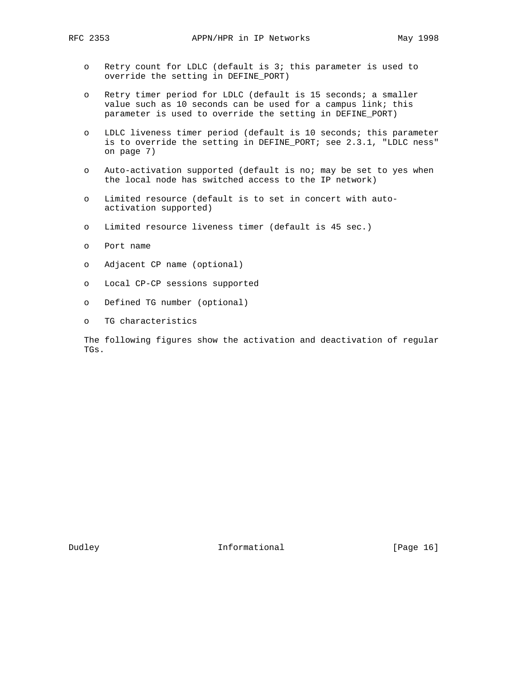- o Retry count for LDLC (default is 3; this parameter is used to override the setting in DEFINE\_PORT)
- o Retry timer period for LDLC (default is 15 seconds; a smaller value such as 10 seconds can be used for a campus link; this parameter is used to override the setting in DEFINE\_PORT)
- o LDLC liveness timer period (default is 10 seconds; this parameter is to override the setting in DEFINE\_PORT; see 2.3.1, "LDLC ness" on page 7)
- o Auto-activation supported (default is no; may be set to yes when the local node has switched access to the IP network)
- o Limited resource (default is to set in concert with auto activation supported)
- o Limited resource liveness timer (default is 45 sec.)
- o Port name
- o Adjacent CP name (optional)
- o Local CP-CP sessions supported
- o Defined TG number (optional)
- o TG characteristics

 The following figures show the activation and deactivation of regular TGs.

Dudley **Informational** [Page 16]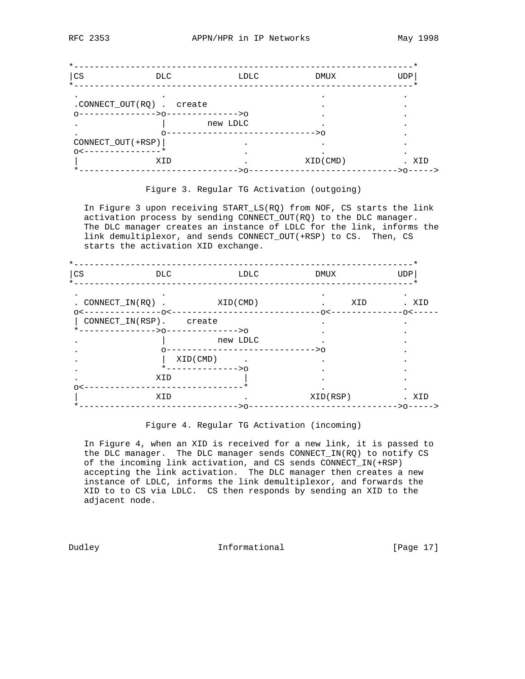| $\star$                          |          |           |               |
|----------------------------------|----------|-----------|---------------|
| $ {\rm CS}$<br>DLC.              | LDLC     | DMUX      | <b>UDP</b>    |
| $\star$ $\overline{\phantom{0}}$ |          |           |               |
| .CONNECT_OUT(RQ) . create        |          |           |               |
| -------------->0-------------->0 |          |           |               |
|                                  | new LDLC |           |               |
|                                  |          | $----->0$ |               |
| CONNECT_OUT(+RSP)                |          |           |               |
| $\cap$                           |          |           |               |
| XID                              |          | XID(CMD)  | XID           |
|                                  | ->0      |           | ----->0-----> |

#### Figure 3. Regular TG Activation (outgoing)

 In Figure 3 upon receiving START\_LS(RQ) from NOF, CS starts the link activation process by sending CONNECT\_OUT(RQ) to the DLC manager. The DLC manager creates an instance of LDLC for the link, informs the link demultiplexor, and sends CONNECT\_OUT(+RSP) to CS. Then, CS starts the activation XID exchange.

| CS                               | DLC                                                       | LDLC                         | DMUX         | <b>UDP</b>            |
|----------------------------------|-----------------------------------------------------------|------------------------------|--------------|-----------------------|
| . CONNECT IN $(RO)$ .<br>$\circ$ | ------0<                                                  | XID(CMD)                     | XID<br>$-0<$ | . XID<br>$-\cap$ $<-$ |
|                                  | CONNECT_IN(RSP). create<br>------------>0-------------->0 |                              |              |                       |
|                                  |                                                           | new LDLC<br>---------------- | --------->0  |                       |
|                                  | XID(CMD)                                                  |                              |              |                       |
|                                  | XID                                                       | *------------->0             |              |                       |
|                                  | XID                                                       |                              | XID(RSP)     | . XID                 |
|                                  |                                                           | –>∩                          |              | ------->0----->       |

#### Figure 4. Regular TG Activation (incoming)

 In Figure 4, when an XID is received for a new link, it is passed to the DLC manager. The DLC manager sends CONNECT\_IN(RQ) to notify CS of the incoming link activation, and CS sends CONNECT\_IN(+RSP) accepting the link activation. The DLC manager then creates a new instance of LDLC, informs the link demultiplexor, and forwards the XID to to CS via LDLC. CS then responds by sending an XID to the adjacent node.

Dudley **Informational** [Page 17]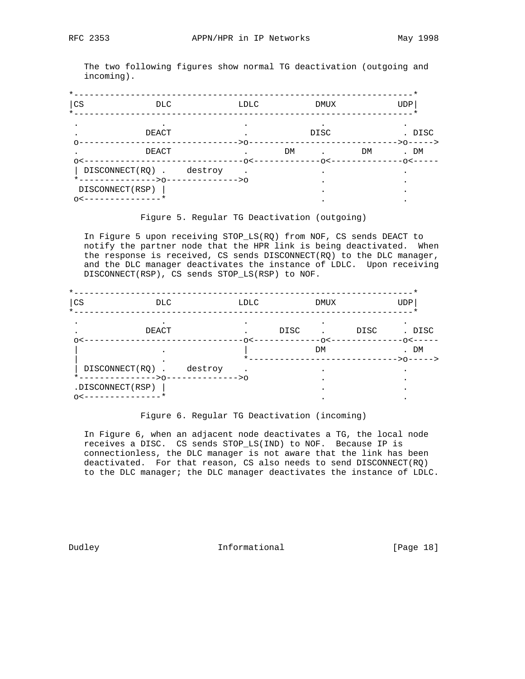The two following figures show normal TG deactivation (outgoing and incoming).

| $\star$                |                                                      |           |             |    |             |    |                       |
|------------------------|------------------------------------------------------|-----------|-------------|----|-------------|----|-----------------------|
| cs <br>$\star$         | DLC.                                                 |           | LDLC        |    | <b>DMUX</b> |    | <b>UDP</b>            |
|                        | DEACT                                                | $----->0$ |             |    | DISC        |    | . DISC<br>$->0---->$  |
| ∩<                     | DEACT                                                |           | $------O<-$ | DM | - ヘ く -     | DM | . DM<br>$-\cap$ < $-$ |
|                        | DISCONNECT(RQ).<br>*-------------->0-------------->0 | destroy   |             |    |             |    |                       |
| DISCONNECT (RSP)<br>∩< |                                                      |           |             |    |             |    |                       |

## Figure 5. Regular TG Deactivation (outgoing)

 In Figure 5 upon receiving STOP\_LS(RQ) from NOF, CS sends DEACT to notify the partner node that the HPR link is being deactivated. When the response is received, CS sends DISCONNECT(RQ) to the DLC manager, and the DLC manager deactivates the instance of LDLC. Upon receiving DISCONNECT(RSP), CS sends STOP\_LS(RSP) to NOF.

| CS<br>$\star$    | DLC.                                  |                | <b>LDLC</b> |      | <b>DMUX</b>   |      | <b>UDP</b>                          |
|------------------|---------------------------------------|----------------|-------------|------|---------------|------|-------------------------------------|
|                  | DEACT                                 |                |             | DISC |               | DISC | . DISC                              |
|                  |                                       |                | $-0<$       |      | $-\cap$<br>DM |      | $-\cap$ $\lt$ $-$<br>DM<br>$->0---$ |
|                  | DISCONNECT(RQ).<br>*-------------->0- | destroy        |             |      |               |      |                                     |
| .DISCONNECT(RSP) |                                       | ------------>0 |             |      |               |      |                                     |
| $\cap$           |                                       |                |             |      |               |      |                                     |

#### Figure 6. Regular TG Deactivation (incoming)

 In Figure 6, when an adjacent node deactivates a TG, the local node receives a DISC. CS sends STOP\_LS(IND) to NOF. Because IP is connectionless, the DLC manager is not aware that the link has been deactivated. For that reason, CS also needs to send DISCONNECT(RQ) to the DLC manager; the DLC manager deactivates the instance of LDLC.

Dudley **Informational** [Page 18]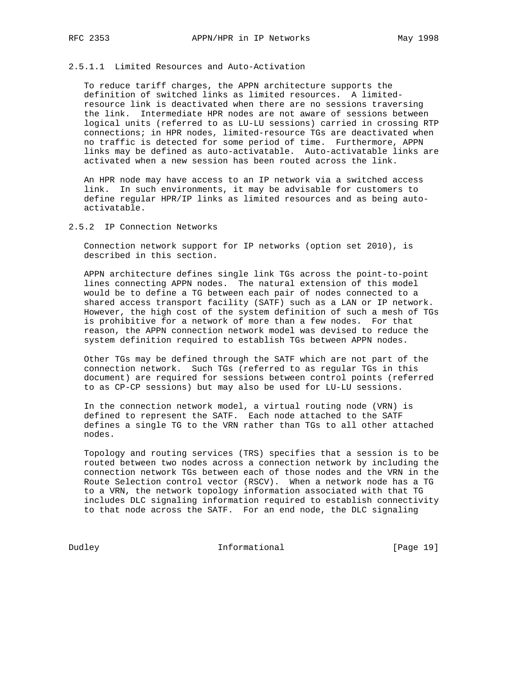# 2.5.1.1 Limited Resources and Auto-Activation

 To reduce tariff charges, the APPN architecture supports the definition of switched links as limited resources. A limited resource link is deactivated when there are no sessions traversing the link. Intermediate HPR nodes are not aware of sessions between logical units (referred to as LU-LU sessions) carried in crossing RTP connections; in HPR nodes, limited-resource TGs are deactivated when no traffic is detected for some period of time. Furthermore, APPN links may be defined as auto-activatable. Auto-activatable links are activated when a new session has been routed across the link.

 An HPR node may have access to an IP network via a switched access link. In such environments, it may be advisable for customers to define regular HPR/IP links as limited resources and as being auto activatable.

### 2.5.2 IP Connection Networks

 Connection network support for IP networks (option set 2010), is described in this section.

 APPN architecture defines single link TGs across the point-to-point lines connecting APPN nodes. The natural extension of this model would be to define a TG between each pair of nodes connected to a shared access transport facility (SATF) such as a LAN or IP network. However, the high cost of the system definition of such a mesh of TGs is prohibitive for a network of more than a few nodes. For that reason, the APPN connection network model was devised to reduce the system definition required to establish TGs between APPN nodes.

 Other TGs may be defined through the SATF which are not part of the connection network. Such TGs (referred to as regular TGs in this document) are required for sessions between control points (referred to as CP-CP sessions) but may also be used for LU-LU sessions.

 In the connection network model, a virtual routing node (VRN) is defined to represent the SATF. Each node attached to the SATF defines a single TG to the VRN rather than TGs to all other attached nodes.

 Topology and routing services (TRS) specifies that a session is to be routed between two nodes across a connection network by including the connection network TGs between each of those nodes and the VRN in the Route Selection control vector (RSCV). When a network node has a TG to a VRN, the network topology information associated with that TG includes DLC signaling information required to establish connectivity to that node across the SATF. For an end node, the DLC signaling

Dudley **Informational** [Page 19]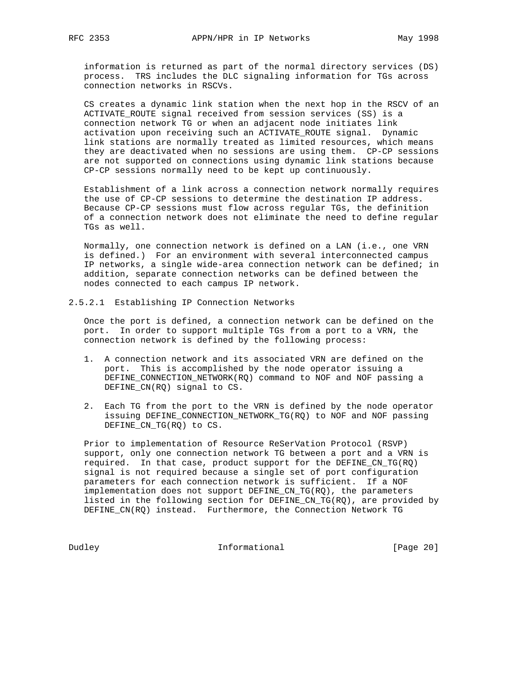information is returned as part of the normal directory services (DS) process. TRS includes the DLC signaling information for TGs across connection networks in RSCVs.

 CS creates a dynamic link station when the next hop in the RSCV of an ACTIVATE\_ROUTE signal received from session services (SS) is a connection network TG or when an adjacent node initiates link activation upon receiving such an ACTIVATE\_ROUTE signal. Dynamic link stations are normally treated as limited resources, which means they are deactivated when no sessions are using them. CP-CP sessions are not supported on connections using dynamic link stations because CP-CP sessions normally need to be kept up continuously.

 Establishment of a link across a connection network normally requires the use of CP-CP sessions to determine the destination IP address. Because CP-CP sessions must flow across regular TGs, the definition of a connection network does not eliminate the need to define regular TGs as well.

 Normally, one connection network is defined on a LAN (i.e., one VRN is defined.) For an environment with several interconnected campus IP networks, a single wide-area connection network can be defined; in addition, separate connection networks can be defined between the nodes connected to each campus IP network.

2.5.2.1 Establishing IP Connection Networks

 Once the port is defined, a connection network can be defined on the port. In order to support multiple TGs from a port to a VRN, the connection network is defined by the following process:

- 1. A connection network and its associated VRN are defined on the port. This is accomplished by the node operator issuing a DEFINE\_CONNECTION\_NETWORK(RQ) command to NOF and NOF passing a DEFINE\_CN(RQ) signal to CS.
- 2. Each TG from the port to the VRN is defined by the node operator issuing DEFINE\_CONNECTION\_NETWORK\_TG(RQ) to NOF and NOF passing DEFINE\_CN\_TG(RQ) to CS.

 Prior to implementation of Resource ReSerVation Protocol (RSVP) support, only one connection network TG between a port and a VRN is required. In that case, product support for the DEFINE\_CN\_TG(RQ) signal is not required because a single set of port configuration parameters for each connection network is sufficient. If a NOF implementation does not support DEFINE\_CN\_TG(RQ), the parameters listed in the following section for DEFINE\_CN\_TG(RQ), are provided by DEFINE\_CN(RQ) instead. Furthermore, the Connection Network TG

Dudley **Informational** [Page 20]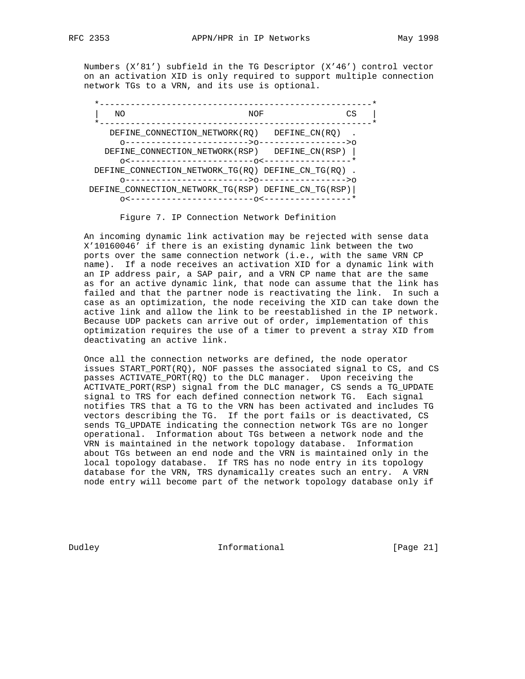Numbers (X'81') subfield in the TG Descriptor (X'46') control vector on an activation XID is only required to support multiple connection network TGs to a VRN, and its use is optional.

| NΟ |                                                     | NOF           | CS |
|----|-----------------------------------------------------|---------------|----|
|    | DEFINE CONNECTION NETWORK (RO)                      | DEFINE CN(RO) |    |
|    | DEFINE CONNECTION NETWORK(RSP) DEFINE CN(RSP)       |               |    |
|    | DEFINE CONNECTION NETWORK TG(RO) DEFINE CN TG(RO)   |               |    |
|    | DEFINE CONNECTION NETWORK TG(RSP) DEFINE CN TG(RSP) |               |    |
|    | ----------------0<-                                 |               |    |

Figure 7. IP Connection Network Definition

 An incoming dynamic link activation may be rejected with sense data X'10160046' if there is an existing dynamic link between the two ports over the same connection network (i.e., with the same VRN CP name). If a node receives an activation XID for a dynamic link with an IP address pair, a SAP pair, and a VRN CP name that are the same as for an active dynamic link, that node can assume that the link has failed and that the partner node is reactivating the link. In such a case as an optimization, the node receiving the XID can take down the active link and allow the link to be reestablished in the IP network. Because UDP packets can arrive out of order, implementation of this optimization requires the use of a timer to prevent a stray XID from deactivating an active link.

 Once all the connection networks are defined, the node operator issues START\_PORT(RQ), NOF passes the associated signal to CS, and CS passes ACTIVATE PORT(RQ) to the DLC manager. Upon receiving the ACTIVATE\_PORT(RSP) signal from the DLC manager, CS sends a TG\_UPDATE signal to TRS for each defined connection network TG. Each signal notifies TRS that a TG to the VRN has been activated and includes TG vectors describing the TG. If the port fails or is deactivated, CS sends TG\_UPDATE indicating the connection network TGs are no longer operational. Information about TGs between a network node and the VRN is maintained in the network topology database. Information about TGs between an end node and the VRN is maintained only in the local topology database. If TRS has no node entry in its topology database for the VRN, TRS dynamically creates such an entry. A VRN node entry will become part of the network topology database only if

Dudley **Informational** [Page 21]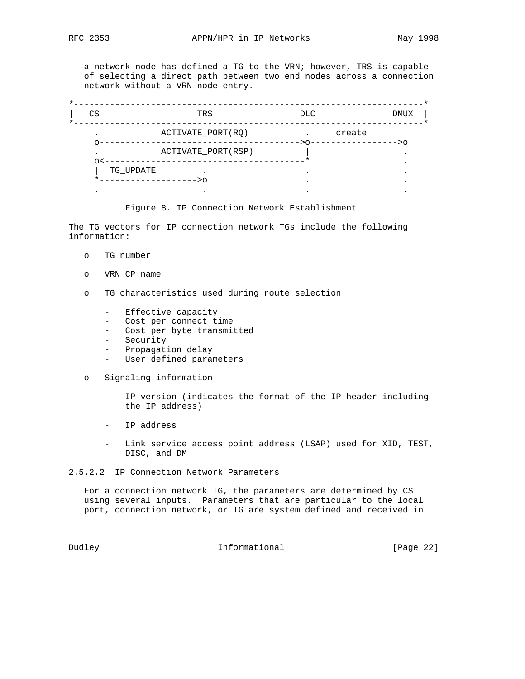a network node has defined a TG to the VRN; however, TRS is capable of selecting a direct path between two end nodes across a connection network without a VRN node entry.

| CS        | TRS                | DLC. | <b>DMUX</b> |
|-----------|--------------------|------|-------------|
|           | ACTIVATE_PORT(RQ)  |      | create      |
|           | ACTIVATE_PORT(RSP) |      | >∩          |
| TG UPDATE |                    |      |             |
|           | >⊙                 |      |             |
|           |                    |      |             |

### Figure 8. IP Connection Network Establishment

The TG vectors for IP connection network TGs include the following information:

- o TG number
- o VRN CP name
- o TG characteristics used during route selection
	- Effective capacity
	- Cost per connect time
	- Cost per byte transmitted
	- Security
	- Propagation delay
	- User defined parameters

o Signaling information

- IP version (indicates the format of the IP header including the IP address)
- IP address
- Link service access point address (LSAP) used for XID, TEST, DISC, and DM
- 2.5.2.2 IP Connection Network Parameters

 For a connection network TG, the parameters are determined by CS using several inputs. Parameters that are particular to the local port, connection network, or TG are system defined and received in

Dudley **Informational** [Page 22]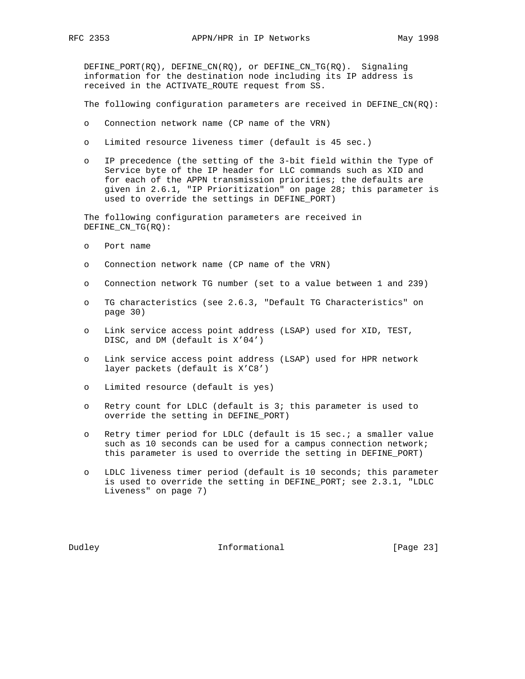DEFINE\_PORT(RQ), DEFINE\_CN(RQ), or DEFINE\_CN\_TG(RQ). Signaling information for the destination node including its IP address is received in the ACTIVATE\_ROUTE request from SS.

The following configuration parameters are received in DEFINE\_CN(RQ):

- o Connection network name (CP name of the VRN)
- o Limited resource liveness timer (default is 45 sec.)
- o IP precedence (the setting of the 3-bit field within the Type of Service byte of the IP header for LLC commands such as XID and for each of the APPN transmission priorities; the defaults are given in 2.6.1, "IP Prioritization" on page 28; this parameter is used to override the settings in DEFINE\_PORT)

 The following configuration parameters are received in DEFINE\_CN\_TG(RQ):

- o Port name
- o Connection network name (CP name of the VRN)
- o Connection network TG number (set to a value between 1 and 239)
- o TG characteristics (see 2.6.3, "Default TG Characteristics" on page 30)
- o Link service access point address (LSAP) used for XID, TEST, DISC, and DM (default is X'04')
- o Link service access point address (LSAP) used for HPR network layer packets (default is X'C8')
- o Limited resource (default is yes)
- o Retry count for LDLC (default is 3; this parameter is used to override the setting in DEFINE\_PORT)
- o Retry timer period for LDLC (default is 15 sec.; a smaller value such as 10 seconds can be used for a campus connection network; this parameter is used to override the setting in DEFINE\_PORT)
- o LDLC liveness timer period (default is 10 seconds; this parameter is used to override the setting in DEFINE\_PORT; see 2.3.1, "LDLC Liveness" on page 7)

Dudley **Informational** [Page 23]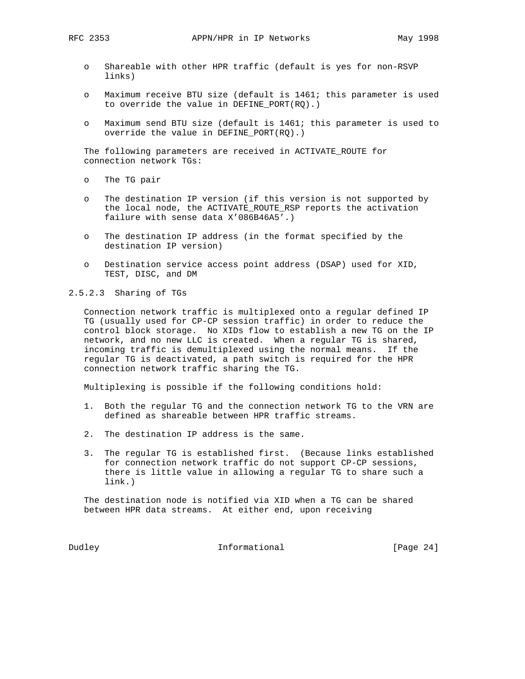- o Shareable with other HPR traffic (default is yes for non-RSVP links)
- o Maximum receive BTU size (default is 1461; this parameter is used to override the value in DEFINE\_PORT(RQ).)
- o Maximum send BTU size (default is 1461; this parameter is used to override the value in DEFINE\_PORT(RQ).)

 The following parameters are received in ACTIVATE\_ROUTE for connection network TGs:

- o The TG pair
- o The destination IP version (if this version is not supported by the local node, the ACTIVATE ROUTE RSP reports the activation failure with sense data X'086B46A5'.)
- o The destination IP address (in the format specified by the destination IP version)
- o Destination service access point address (DSAP) used for XID, TEST, DISC, and DM

2.5.2.3 Sharing of TGs

 Connection network traffic is multiplexed onto a regular defined IP TG (usually used for CP-CP session traffic) in order to reduce the control block storage. No XIDs flow to establish a new TG on the IP network, and no new LLC is created. When a regular TG is shared, incoming traffic is demultiplexed using the normal means. If the regular TG is deactivated, a path switch is required for the HPR connection network traffic sharing the TG.

Multiplexing is possible if the following conditions hold:

- 1. Both the regular TG and the connection network TG to the VRN are defined as shareable between HPR traffic streams.
- 2. The destination IP address is the same.
- 3. The regular TG is established first. (Because links established for connection network traffic do not support CP-CP sessions, there is little value in allowing a regular TG to share such a link.)

 The destination node is notified via XID when a TG can be shared between HPR data streams. At either end, upon receiving

Dudley **Informational** [Page 24]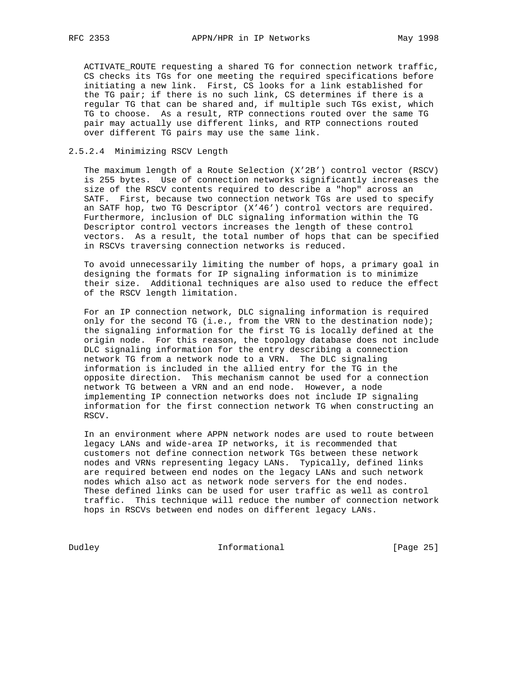ACTIVATE\_ROUTE requesting a shared TG for connection network traffic, CS checks its TGs for one meeting the required specifications before initiating a new link. First, CS looks for a link established for the TG pair; if there is no such link, CS determines if there is a regular TG that can be shared and, if multiple such TGs exist, which TG to choose. As a result, RTP connections routed over the same TG pair may actually use different links, and RTP connections routed over different TG pairs may use the same link.

## 2.5.2.4 Minimizing RSCV Length

 The maximum length of a Route Selection (X'2B') control vector (RSCV) is 255 bytes. Use of connection networks significantly increases the size of the RSCV contents required to describe a "hop" across an SATF. First, because two connection network TGs are used to specify an SATF hop, two TG Descriptor (X'46') control vectors are required. Furthermore, inclusion of DLC signaling information within the TG Descriptor control vectors increases the length of these control vectors. As a result, the total number of hops that can be specified in RSCVs traversing connection networks is reduced.

 To avoid unnecessarily limiting the number of hops, a primary goal in designing the formats for IP signaling information is to minimize their size. Additional techniques are also used to reduce the effect of the RSCV length limitation.

 For an IP connection network, DLC signaling information is required only for the second TG (i.e., from the VRN to the destination node); the signaling information for the first TG is locally defined at the origin node. For this reason, the topology database does not include DLC signaling information for the entry describing a connection network TG from a network node to a VRN. The DLC signaling information is included in the allied entry for the TG in the opposite direction. This mechanism cannot be used for a connection network TG between a VRN and an end node. However, a node implementing IP connection networks does not include IP signaling information for the first connection network TG when constructing an RSCV.

 In an environment where APPN network nodes are used to route between legacy LANs and wide-area IP networks, it is recommended that customers not define connection network TGs between these network nodes and VRNs representing legacy LANs. Typically, defined links are required between end nodes on the legacy LANs and such network nodes which also act as network node servers for the end nodes. These defined links can be used for user traffic as well as control traffic. This technique will reduce the number of connection network hops in RSCVs between end nodes on different legacy LANs.

Dudley **Informational** [Page 25]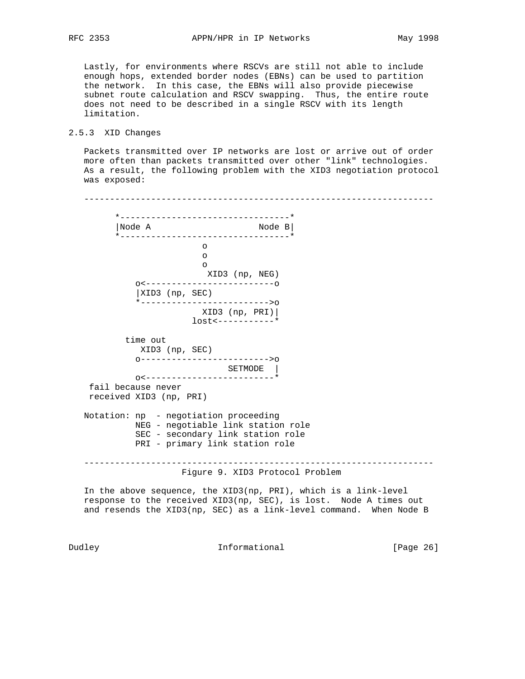Lastly, for environments where RSCVs are still not able to include enough hops, extended border nodes (EBNs) can be used to partition the network. In this case, the EBNs will also provide piecewise subnet route calculation and RSCV swapping. Thus, the entire route does not need to be described in a single RSCV with its length limitation.

## 2.5.3 XID Changes

 Packets transmitted over IP networks are lost or arrive out of order more often than packets transmitted over other "link" technologies. As a result, the following problem with the XID3 negotiation protocol was exposed:

 -------------------------------------------------------------------- \*---------------------------------\* |Node A Node B| \*---------------------------------\* <u>of</u> the contract of the contract of the contract of the contract of the contract of the contract of the contract of the contract of the contract of the contract of the contract of the contract of the contract of the contr of the contract of the contract of the contract of the contract of the contract of the contract of the contract of the contract of the contract of the contract of the contract of the contract of the contract of the contrac <u>of</u> the contract of the contract of the contract of the contract of the contract of the contract of the contract of the contract of the contract of the contract of the contract of the contract of the contract of the contr XID3 (np, NEG) o<-------------------------o |XID3 (np, SEC) \*------------------------->o XID3 (np, PRI)| lost<-----------\* time out XID3 (np, SEC) o------------------------->o SETMODE | o<-------------------------\* fail because never received XID3 (np, PRI) Notation: np - negotiation proceeding NEG - negotiable link station role SEC - secondary link station role PRI - primary link station role -------------------------------------------------------------------- Figure 9. XID3 Protocol Problem In the above sequence, the XID3(np, PRI), which is a link-level

 response to the received XID3(np, SEC), is lost. Node A times out and resends the XID3(np, SEC) as a link-level command. When Node B

Dudley **Informational Informational** [Page 26]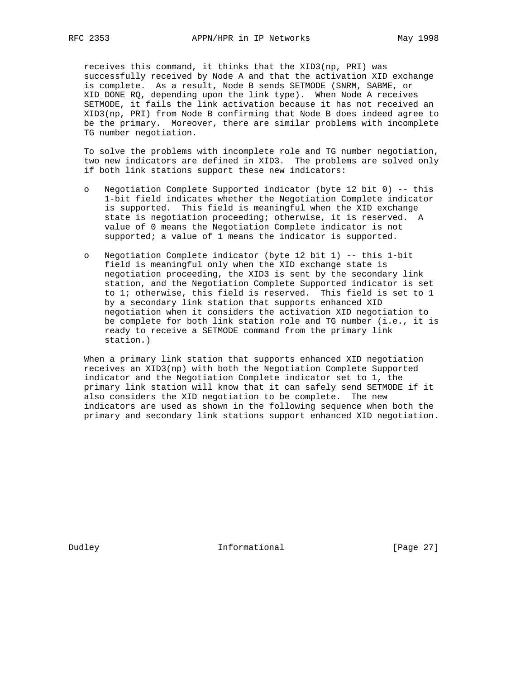receives this command, it thinks that the XID3(np, PRI) was successfully received by Node A and that the activation XID exchange is complete. As a result, Node B sends SETMODE (SNRM, SABME, or XID\_DONE\_RQ, depending upon the link type). When Node A receives SETMODE, it fails the link activation because it has not received an XID3(np, PRI) from Node B confirming that Node B does indeed agree to be the primary. Moreover, there are similar problems with incomplete TG number negotiation.

 To solve the problems with incomplete role and TG number negotiation, two new indicators are defined in XID3. The problems are solved only if both link stations support these new indicators:

- o Negotiation Complete Supported indicator (byte 12 bit 0) -- this 1-bit field indicates whether the Negotiation Complete indicator is supported. This field is meaningful when the XID exchange state is negotiation proceeding; otherwise, it is reserved. A value of 0 means the Negotiation Complete indicator is not supported; a value of 1 means the indicator is supported.
- o Negotiation Complete indicator (byte 12 bit 1) -- this 1-bit field is meaningful only when the XID exchange state is negotiation proceeding, the XID3 is sent by the secondary link station, and the Negotiation Complete Supported indicator is set to 1; otherwise, this field is reserved. This field is set to 1 by a secondary link station that supports enhanced XID negotiation when it considers the activation XID negotiation to be complete for both link station role and TG number (i.e., it is ready to receive a SETMODE command from the primary link station.)

 When a primary link station that supports enhanced XID negotiation receives an XID3(np) with both the Negotiation Complete Supported indicator and the Negotiation Complete indicator set to 1, the primary link station will know that it can safely send SETMODE if it also considers the XID negotiation to be complete. The new indicators are used as shown in the following sequence when both the primary and secondary link stations support enhanced XID negotiation.

Dudley **Informational** [Page 27]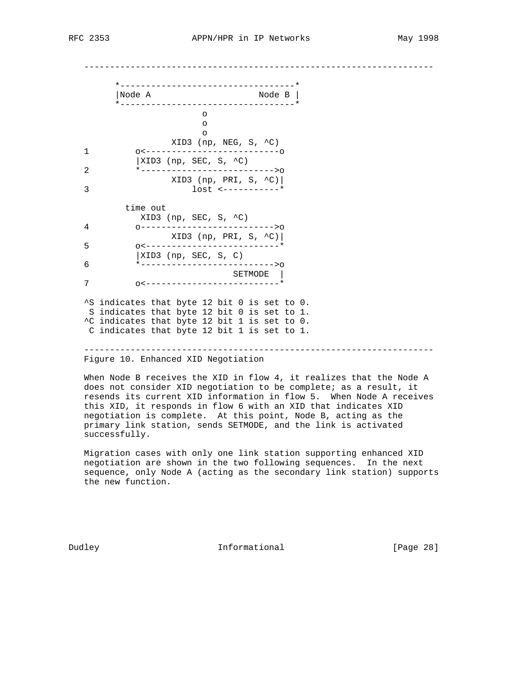--------------------------------------------------------------------

 \*----------------------------------\* |Node A Node B | \*----------------------------------\* of the contract of the contract of the contract of the contract of the contract of the contract of the contract of the contract of the contract of the contract of the contract of the contract of the contract of the contrac <u>of</u> the contract of the contract of the contract of the contract of the contract of the contract of the contract of the contract of the contract of the contract of the contract of the contract of the contract of the contr <u>of</u> the contract of the contract of the contract of the contract of the contract of the contract of the contract of the contract of the contract of the contract of the contract of the contract of the contract of the contr  $XID3$  (np, NEG, S,  $C$ ) 1 o<--------------------------o  $|XID3$  (np, SEC, S,  $\sim$ C) 2 \*-------------------------->o  $XID3 (np, PRI, S, ^c)$  3 lost <-----------\* time out XID3 (np, SEC, S, ^C) 4 o-------------------------->o XID3 (np, PRI, S, ^C)| 5 o<--------------------------\* |XID3 (np, SEC, S, C) 6 \*-------------------------->o SETMODE | 7 o<--------------------------\* ^S indicates that byte 12 bit 0 is set to 0. S indicates that byte 12 bit 0 is set to 1. ^C indicates that byte 12 bit 1 is set to 0. C indicates that byte 12 bit 1 is set to 1. -------------------------------------------------------------------- Figure 10. Enhanced XID Negotiation

 When Node B receives the XID in flow 4, it realizes that the Node A does not consider XID negotiation to be complete; as a result, it resends its current XID information in flow 5. When Node A receives this XID, it responds in flow 6 with an XID that indicates XID negotiation is complete. At this point, Node B, acting as the primary link station, sends SETMODE, and the link is activated successfully.

 Migration cases with only one link station supporting enhanced XID negotiation are shown in the two following sequences. In the next sequence, only Node A (acting as the secondary link station) supports the new function.

Dudley **Informational** [Page 28]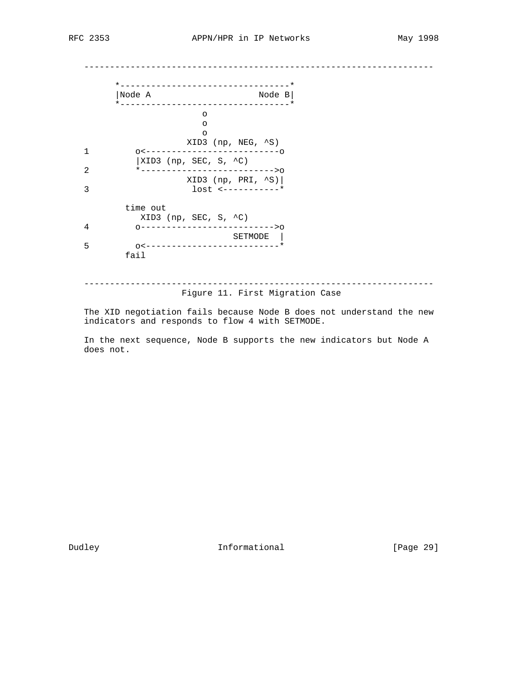--------------------------------------------------------------------

| Node A<br>__________________________________                   | Node $B$ |
|----------------------------------------------------------------|----------|
| $\circ$                                                        |          |
| ∩                                                              |          |
| $\circ$<br>XID3 (np, NEG, ^S)                                  |          |
|                                                                |          |
| $\vert$ XID3 (np, SEC, S, ^C)<br>*-------------------------->0 |          |
| $XID3 (np, PRI, \n8S)$                                         |          |
|                                                                |          |
| time out                                                       |          |
| XID3 (np, SEC, S, $\uparrow$ C)                                |          |
| 0------------------------->0                                   |          |
| SETMODE<br>0<-------------------------*                        |          |
| fail                                                           |          |

Figure 11. First Migration Case

 The XID negotiation fails because Node B does not understand the new indicators and responds to flow 4 with SETMODE.

 In the next sequence, Node B supports the new indicators but Node A does not.

Dudley **Informational** [Page 29]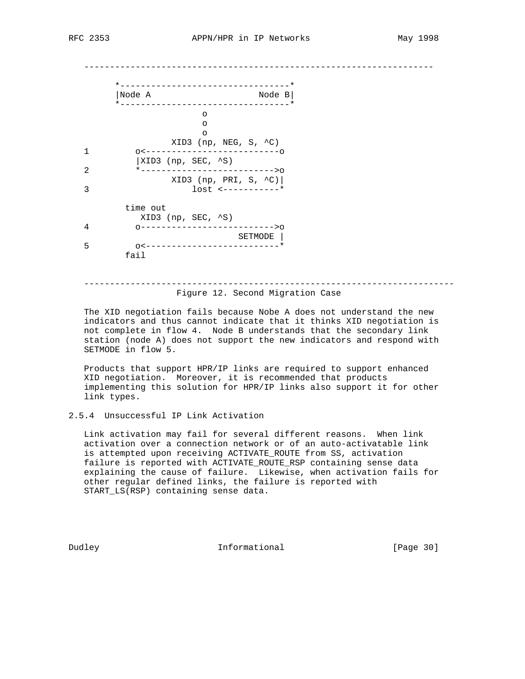--------------------------------------------------------------------

|                | _____________________________<br>Node A<br>Node $B$<br>*--------------------------------- |
|----------------|-------------------------------------------------------------------------------------------|
|                | $\circ$<br>∩<br>∩                                                                         |
|                | XID3 (np, NEG, S, $\sim$ C)                                                               |
| 1              |                                                                                           |
|                | $\vert$ XID3 (np, SEC, ^S)                                                                |
| $\overline{2}$ | *-------------------------->0                                                             |
| 3              | XID3 (np, PRI, S, $\sim$ C)                                                               |
|                | time out                                                                                  |
|                | XID3 (np, SEC, ^S)                                                                        |
| 4              | ------------------------->0                                                               |
|                | SETMODE                                                                                   |
| 5              | --------------------*<br>$0 < - - - -$                                                    |
|                | fail                                                                                      |

## ------------------------------------------------------------------------ Figure 12. Second Migration Case

 The XID negotiation fails because Nobe A does not understand the new indicators and thus cannot indicate that it thinks XID negotiation is not complete in flow 4. Node B understands that the secondary link station (node A) does not support the new indicators and respond with SETMODE in flow 5.

 Products that support HPR/IP links are required to support enhanced XID negotiation. Moreover, it is recommended that products implementing this solution for HPR/IP links also support it for other link types.

#### 2.5.4 Unsuccessful IP Link Activation

 Link activation may fail for several different reasons. When link activation over a connection network or of an auto-activatable link is attempted upon receiving ACTIVATE\_ROUTE from SS, activation failure is reported with ACTIVATE\_ROUTE\_RSP containing sense data explaining the cause of failure. Likewise, when activation fails for other regular defined links, the failure is reported with START\_LS(RSP) containing sense data.

Dudley **Informational** [Page 30]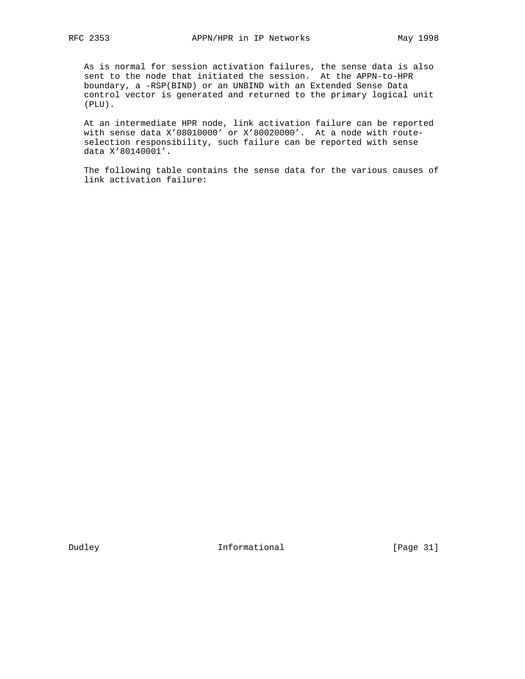As is normal for session activation failures, the sense data is also sent to the node that initiated the session. At the APPN-to-HPR boundary, a -RSP(BIND) or an UNBIND with an Extended Sense Data control vector is generated and returned to the primary logical unit (PLU).

 At an intermediate HPR node, link activation failure can be reported with sense data X'08010000' or X'80020000'. At a node with route selection responsibility, such failure can be reported with sense data X'80140001'.

 The following table contains the sense data for the various causes of link activation failure:

Dudley **Informational** [Page 31]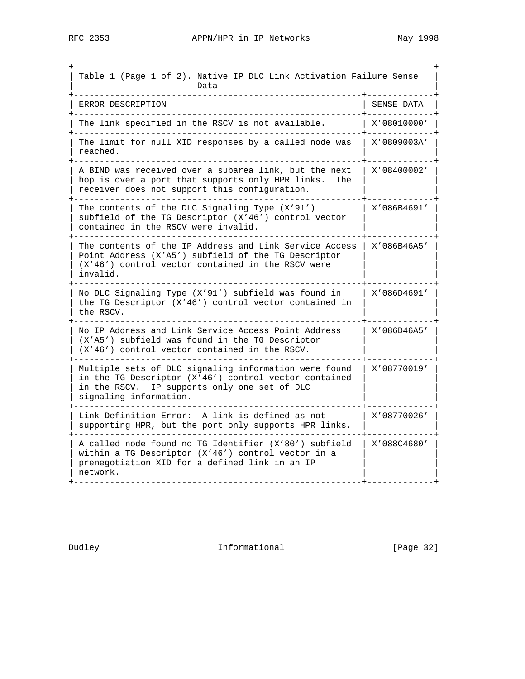+----------------------------------------------------------------------+ Table 1 (Page 1 of 2). Native IP DLC Link Activation Failure Sense | Data | Data | Data | Data | Data | Data | Data | Data | Data | Data | Data | Data | Data | Data | Data | Data | Data | Data | Data | Data | Data | Data | Data | Data | Data | Data | Data | Data | Data | Data | Data | Dat +--------------------------------------------------------+-------------+ | ERROR DESCRIPTION | SENSE DATA | +--------------------------------------------------------+-------------+ | The link specified in the RSCV is not available. | X'08010000' | +--------------------------------------------------------+-------------+ | The limit for null XID responses by a called node was | X'0809003A' | | reached. +--------------------------------------------------------+-------------+ A BIND was received over a subarea link, but the next  $\mid$  X'08400002' | hop is over a port that supports only HPR links. The | receiver does not support this configuration. | | +--------------------------------------------------------+-------------+ | The contents of the DLC Signaling Type  $(X'91')$  | X'086B4691' subfield of the TG Descriptor  $(X'46')$  control vector | contained in the RSCV were invalid. +--------------------------------------------------------+-------------+ | The contents of the IP Address and Link Service Access | X'086B46A5' | Point Address (X'A5') subfield of the TG Descriptor  $(X'46')$  control vector contained in the RSCV were | invalid. | | +--------------------------------------------------------+-------------+ | No DLC Signaling Type (X'91') subfield was found in | X'086D4691' | the TG Descriptor  $(X'46')$  control vector contained in the RSCV. +--------------------------------------------------------+-------------+ | No IP Address and Link Service Access Point Address | X'086D46A5' | (X'A5') subfield was found in the TG Descriptor  $($   $X'46'$ ) control vector contained in the RSCV. +--------------------------------------------------------+-------------+ | Multiple sets of DLC signaling information were found | X'08770019' in the TG Descriptor  $(X'46')$  control vector contained in the RSCV. IP supports only one set of DLC | signaling information. +--------------------------------------------------------+-------------+ | Link Definition Error: A link is defined as not | X'08770026' | supporting HPR, but the port only supports HPR links. | | +--------------------------------------------------------+-------------+ A called node found no TG Identifier (X'80') subfield | X'088C4680' within a TG Descriptor  $(X'46')$  control vector in a | prenegotiation XID for a defined link in an IP | | | network. +--------------------------------------------------------+-------------+

Dudley **Informational** [Page 32]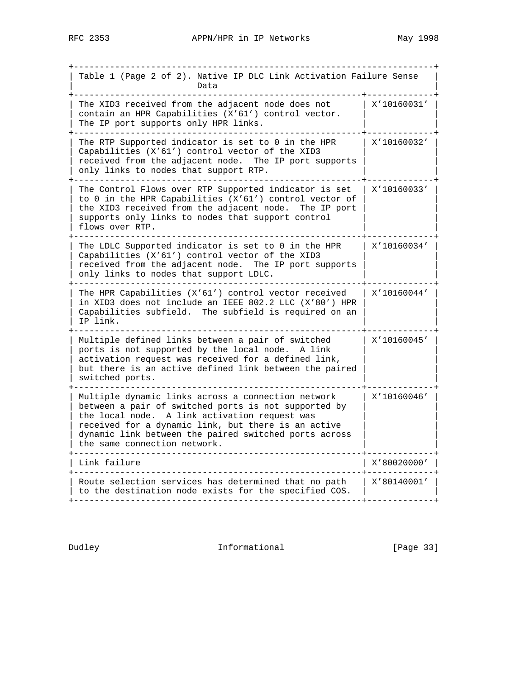| Table 1 (Page 2 of 2). Native IP DLC Link Activation Failure Sense<br>Data                                                                                                                                                                                                                                  |             |
|-------------------------------------------------------------------------------------------------------------------------------------------------------------------------------------------------------------------------------------------------------------------------------------------------------------|-------------|
| The XID3 received from the adjacent node does not<br>contain an HPR Capabilities (X'61') control vector.<br>The IP port supports only HPR links.                                                                                                                                                            | X'10160031' |
| The RTP Supported indicator is set to 0 in the HPR<br>Capabilities (X'61') control vector of the XID3<br>received from the adjacent node. The IP port supports<br>only links to nodes that support RTP.                                                                                                     | X'10160032' |
| The Control Flows over RTP Supported indicator is set<br>to 0 in the HPR Capabilities (X'61') control vector of<br>the XID3 received from the adjacent node. The IP port<br>supports only links to nodes that support control<br>flows over RTP.                                                            | X'10160033' |
| The LDLC Supported indicator is set to 0 in the HPR<br>Capabilities (X'61') control vector of the XID3<br>received from the adjacent node. The IP port supports<br>only links to nodes that support LDLC.                                                                                                   | X'10160034' |
| The HPR Capabilities (X'61') control vector received<br>in XID3 does not include an IEEE 802.2 LLC (X'80') HPR<br>Capabilities subfield. The subfield is required on an<br>IP link.                                                                                                                         | X'10160044' |
| Multiple defined links between a pair of switched<br>ports is not supported by the local node. A link<br>activation request was received for a defined link,<br>but there is an active defined link between the paired<br>switched ports.                                                                   | X'10160045' |
| Multiple dynamic links across a connection network<br>between a pair of switched ports is not supported by<br>the local node. A link activation request was<br>received for a dynamic link, but there is an active<br>dynamic link between the paired switched ports across<br>the same connection network. | X'10160046' |
| Link failure                                                                                                                                                                                                                                                                                                | 7780020000  |
| Route selection services has determined that no path<br>to the destination node exists for the specified COS.                                                                                                                                                                                               | X'80140001' |

Dudley **Informational** [Page 33]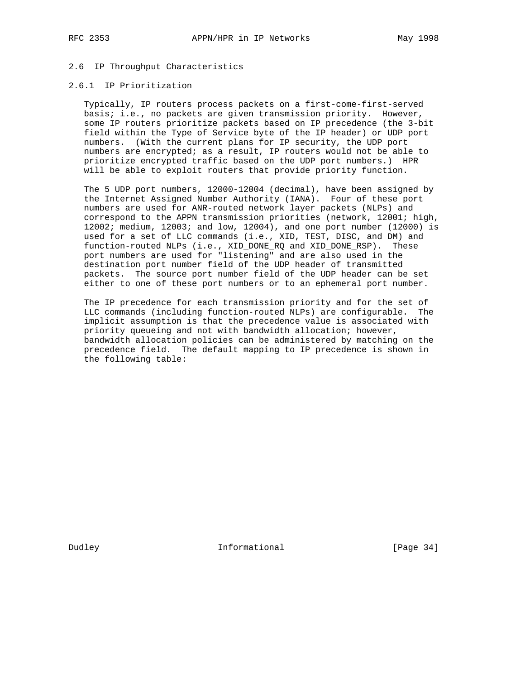# 2.6 IP Throughput Characteristics

## 2.6.1 IP Prioritization

 Typically, IP routers process packets on a first-come-first-served basis; i.e., no packets are given transmission priority. However, some IP routers prioritize packets based on IP precedence (the 3-bit field within the Type of Service byte of the IP header) or UDP port numbers. (With the current plans for IP security, the UDP port numbers are encrypted; as a result, IP routers would not be able to prioritize encrypted traffic based on the UDP port numbers.) HPR will be able to exploit routers that provide priority function.

 The 5 UDP port numbers, 12000-12004 (decimal), have been assigned by the Internet Assigned Number Authority (IANA). Four of these port numbers are used for ANR-routed network layer packets (NLPs) and correspond to the APPN transmission priorities (network, 12001; high, 12002; medium, 12003; and low, 12004), and one port number (12000) is used for a set of LLC commands (i.e., XID, TEST, DISC, and DM) and function-routed NLPs (i.e., XID\_DONE\_RQ and XID\_DONE\_RSP). These port numbers are used for "listening" and are also used in the destination port number field of the UDP header of transmitted packets. The source port number field of the UDP header can be set either to one of these port numbers or to an ephemeral port number.

 The IP precedence for each transmission priority and for the set of LLC commands (including function-routed NLPs) are configurable. The implicit assumption is that the precedence value is associated with priority queueing and not with bandwidth allocation; however, bandwidth allocation policies can be administered by matching on the precedence field. The default mapping to IP precedence is shown in the following table:

Dudley **Informational** [Page 34]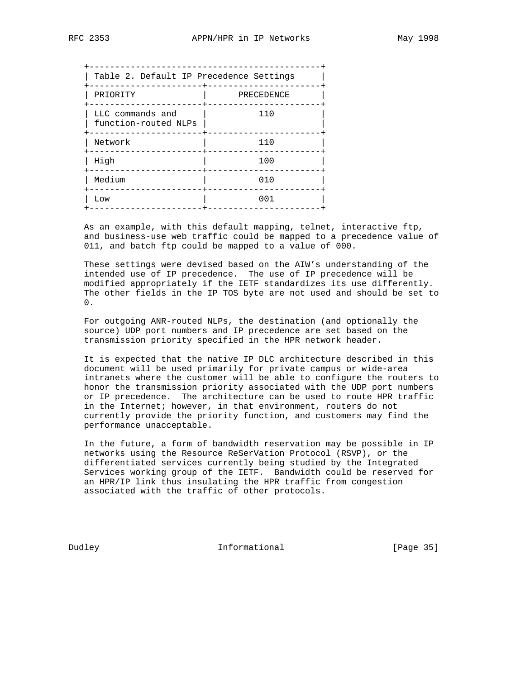| Table 2. Default IP Precedence Settings  |            |
|------------------------------------------|------------|
| PRIORITY                                 | PRECEDENCE |
| LLC commands and<br>function-routed NLPs | 110        |
| Network                                  | 110        |
| -------------<br>High                    | 100        |
| Medium                                   | 010        |
| Low                                      | 001        |
|                                          |            |

 As an example, with this default mapping, telnet, interactive ftp, and business-use web traffic could be mapped to a precedence value of 011, and batch ftp could be mapped to a value of 000.

 These settings were devised based on the AIW's understanding of the intended use of IP precedence. The use of IP precedence will be modified appropriately if the IETF standardizes its use differently. The other fields in the IP TOS byte are not used and should be set to 0.

 For outgoing ANR-routed NLPs, the destination (and optionally the source) UDP port numbers and IP precedence are set based on the transmission priority specified in the HPR network header.

 It is expected that the native IP DLC architecture described in this document will be used primarily for private campus or wide-area intranets where the customer will be able to configure the routers to honor the transmission priority associated with the UDP port numbers or IP precedence. The architecture can be used to route HPR traffic in the Internet; however, in that environment, routers do not currently provide the priority function, and customers may find the performance unacceptable.

 In the future, a form of bandwidth reservation may be possible in IP networks using the Resource ReSerVation Protocol (RSVP), or the differentiated services currently being studied by the Integrated Services working group of the IETF. Bandwidth could be reserved for an HPR/IP link thus insulating the HPR traffic from congestion associated with the traffic of other protocols.

Dudley **Informational** [Page 35]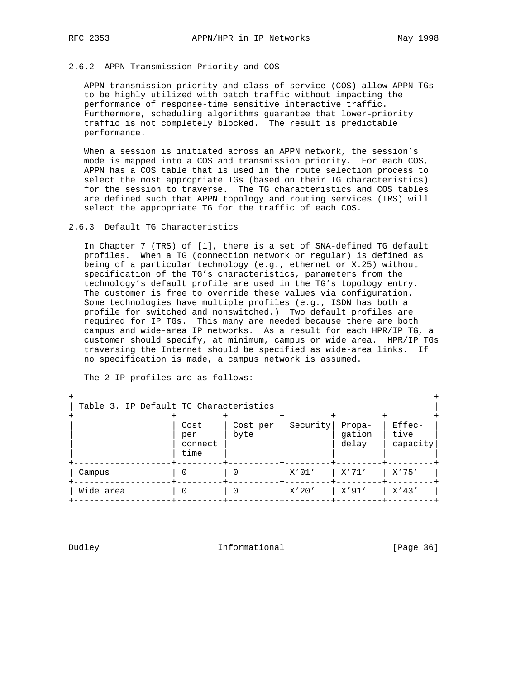## 2.6.2 APPN Transmission Priority and COS

 APPN transmission priority and class of service (COS) allow APPN TGs to be highly utilized with batch traffic without impacting the performance of response-time sensitive interactive traffic. Furthermore, scheduling algorithms guarantee that lower-priority traffic is not completely blocked. The result is predictable performance.

 When a session is initiated across an APPN network, the session's mode is mapped into a COS and transmission priority. For each COS, APPN has a COS table that is used in the route selection process to select the most appropriate TGs (based on their TG characteristics) for the session to traverse. The TG characteristics and COS tables are defined such that APPN topology and routing services (TRS) will select the appropriate TG for the traffic of each COS.

## 2.6.3 Default TG Characteristics

 In Chapter 7 (TRS) of [1], there is a set of SNA-defined TG default profiles. When a TG (connection network or regular) is defined as being of a particular technology (e.g., ethernet or X.25) without specification of the TG's characteristics, parameters from the technology's default profile are used in the TG's topology entry. The customer is free to override these values via configuration. Some technologies have multiple profiles (e.g., ISDN has both a profile for switched and nonswitched.) Two default profiles are required for IP TGs. This many are needed because there are both campus and wide-area IP networks. As a result for each HPR/IP TG, a customer should specify, at minimum, campus or wide area. HPR/IP TGs traversing the Internet should be specified as wide-area links. If no specification is made, a campus network is assumed.

| Table 3. IP Default TG Characteristics |                                |                  |          |                           |                                 |
|----------------------------------------|--------------------------------|------------------|----------|---------------------------|---------------------------------|
|                                        | Cost<br>per<br>connect<br>time | Cost per<br>byte | Security | Propa-<br>gation<br>delay | $Effectec-$<br>tive<br>capacity |
| Campus                                 | $\Omega$                       | $\Omega$         | X'01'    | x'71'                     | X'75'                           |
| Wide area                              | $\Omega$                       | $\Omega$         | X'20'    | X'91′                     | $X'$ 43'                        |

The 2 IP profiles are as follows:

Dudley **Informational** [Page 36]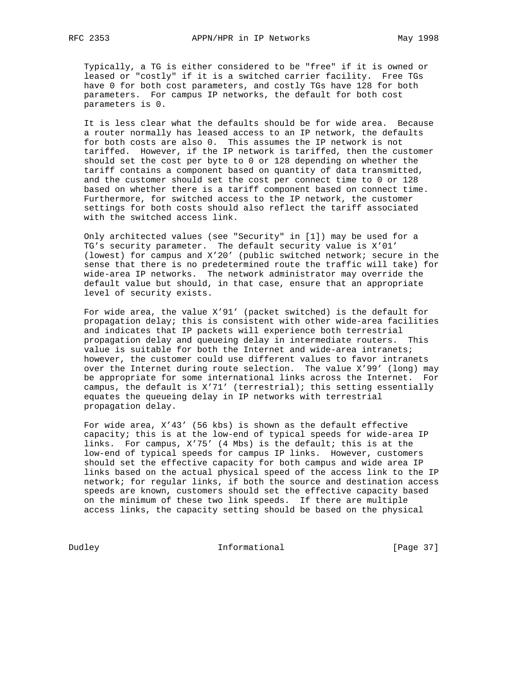Typically, a TG is either considered to be "free" if it is owned or leased or "costly" if it is a switched carrier facility. Free TGs have 0 for both cost parameters, and costly TGs have 128 for both parameters. For campus IP networks, the default for both cost parameters is 0.

 It is less clear what the defaults should be for wide area. Because a router normally has leased access to an IP network, the defaults for both costs are also 0. This assumes the IP network is not tariffed. However, if the IP network is tariffed, then the customer should set the cost per byte to 0 or 128 depending on whether the tariff contains a component based on quantity of data transmitted, and the customer should set the cost per connect time to 0 or 128 based on whether there is a tariff component based on connect time. Furthermore, for switched access to the IP network, the customer settings for both costs should also reflect the tariff associated with the switched access link.

 Only architected values (see "Security" in [1]) may be used for a TG's security parameter. The default security value is X'01' (lowest) for campus and X'20' (public switched network; secure in the sense that there is no predetermined route the traffic will take) for wide-area IP networks. The network administrator may override the default value but should, in that case, ensure that an appropriate level of security exists.

 For wide area, the value X'91' (packet switched) is the default for propagation delay; this is consistent with other wide-area facilities and indicates that IP packets will experience both terrestrial propagation delay and queueing delay in intermediate routers. This value is suitable for both the Internet and wide-area intranets; however, the customer could use different values to favor intranets over the Internet during route selection. The value X'99' (long) may be appropriate for some international links across the Internet. For campus, the default is X'71' (terrestrial); this setting essentially equates the queueing delay in IP networks with terrestrial propagation delay.

 For wide area, X'43' (56 kbs) is shown as the default effective capacity; this is at the low-end of typical speeds for wide-area IP links. For campus, X'75' (4 Mbs) is the default; this is at the low-end of typical speeds for campus IP links. However, customers should set the effective capacity for both campus and wide area IP links based on the actual physical speed of the access link to the IP network; for regular links, if both the source and destination access speeds are known, customers should set the effective capacity based on the minimum of these two link speeds. If there are multiple access links, the capacity setting should be based on the physical

Dudley **Informational** [Page 37]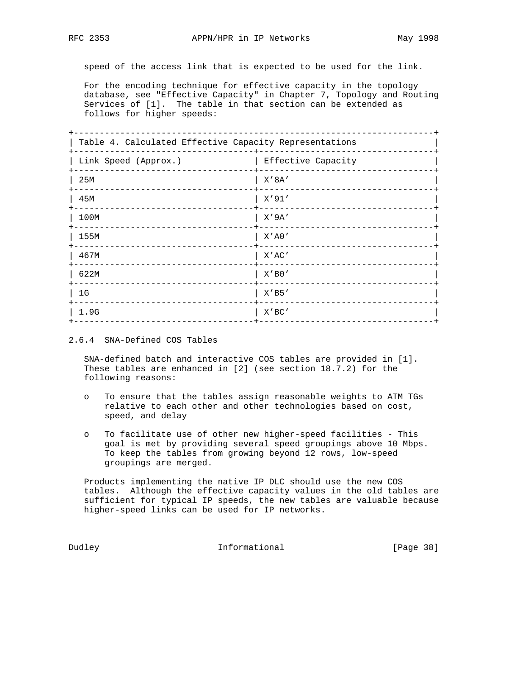speed of the access link that is expected to be used for the link.

 For the encoding technique for effective capacity in the topology database, see "Effective Capacity" in Chapter 7, Topology and Routing Services of [1]. The table in that section can be extended as follows for higher speeds:

| Table 4. Calculated Effective Capacity Representations |                        |  |
|--------------------------------------------------------|------------------------|--|
| Link Speed (Approx.)                                   | Effective Capacity     |  |
| 25M                                                    | X' 8A'                 |  |
| 45M                                                    | $X'$ 91'<br>---------- |  |
| 100M                                                   | $X'$ 9A'               |  |
| 155M                                                   | $X'$ A $0'$            |  |
| 467M                                                   | X'AC'                  |  |
| 622M                                                   | $X'$ B $0'$            |  |
| 1G                                                     | X'BB'                  |  |
| 1.9G                                                   | X'BC'                  |  |
|                                                        |                        |  |

2.6.4 SNA-Defined COS Tables

 SNA-defined batch and interactive COS tables are provided in [1]. These tables are enhanced in [2] (see section 18.7.2) for the following reasons:

- o To ensure that the tables assign reasonable weights to ATM TGs relative to each other and other technologies based on cost, speed, and delay
- o To facilitate use of other new higher-speed facilities This goal is met by providing several speed groupings above 10 Mbps. To keep the tables from growing beyond 12 rows, low-speed groupings are merged.

 Products implementing the native IP DLC should use the new COS tables. Although the effective capacity values in the old tables are sufficient for typical IP speeds, the new tables are valuable because higher-speed links can be used for IP networks.

Dudley **Informational** [Page 38]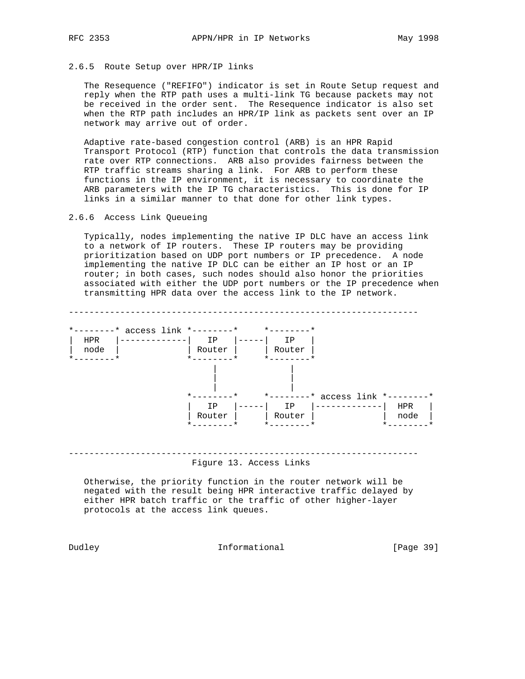### 2.6.5 Route Setup over HPR/IP links

 The Resequence ("REFIFO") indicator is set in Route Setup request and reply when the RTP path uses a multi-link TG because packets may not be received in the order sent. The Resequence indicator is also set when the RTP path includes an HPR/IP link as packets sent over an IP network may arrive out of order.

 Adaptive rate-based congestion control (ARB) is an HPR Rapid Transport Protocol (RTP) function that controls the data transmission rate over RTP connections. ARB also provides fairness between the RTP traffic streams sharing a link. For ARB to perform these functions in the IP environment, it is necessary to coordinate the ARB parameters with the IP TG characteristics. This is done for IP links in a similar manner to that done for other link types.

#### 2.6.6 Access Link Queueing

 Typically, nodes implementing the native IP DLC have an access link to a network of IP routers. These IP routers may be providing prioritization based on UDP port numbers or IP precedence. A node implementing the native IP DLC can be either an IP host or an IP router; in both cases, such nodes should also honor the priorities associated with either the UDP port numbers or the IP precedence when transmitting HPR data over the access link to the IP network.

-------------------------------------------------------------------- \*--------\* access link \*--------\* \*--------\* | HPR |-------------| IP |-----| IP | | node | | | Router | | Router | \*--------\* \*--------\* \*--------\* | | | | | | \*--------\* \*--------\* access link \*--------\* | IP |-----| IP |-------------| HPR | | Router | | Router | | node | \*---------\* \*--------\* \*--------\* --------------------------------------------------------------------

Figure 13. Access Links

 Otherwise, the priority function in the router network will be negated with the result being HPR interactive traffic delayed by either HPR batch traffic or the traffic of other higher-layer protocols at the access link queues.

Dudley **Informational** [Page 39]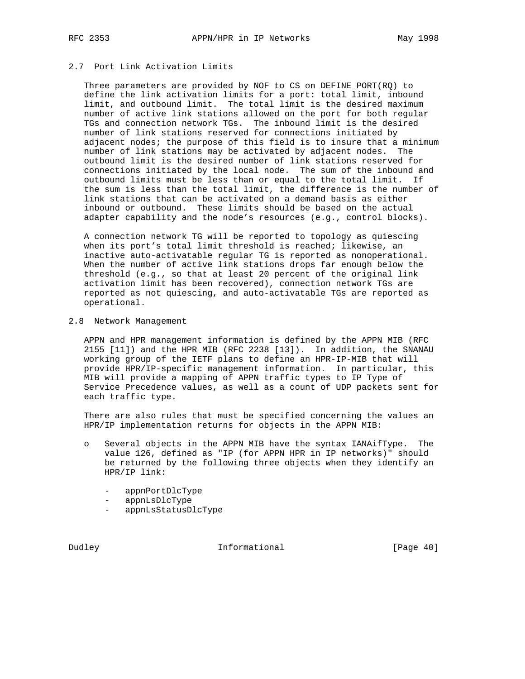# 2.7 Port Link Activation Limits

 Three parameters are provided by NOF to CS on DEFINE\_PORT(RQ) to define the link activation limits for a port: total limit, inbound limit, and outbound limit. The total limit is the desired maximum number of active link stations allowed on the port for both regular TGs and connection network TGs. The inbound limit is the desired number of link stations reserved for connections initiated by adjacent nodes; the purpose of this field is to insure that a minimum number of link stations may be activated by adjacent nodes. The outbound limit is the desired number of link stations reserved for connections initiated by the local node. The sum of the inbound and outbound limits must be less than or equal to the total limit. If the sum is less than the total limit, the difference is the number of link stations that can be activated on a demand basis as either inbound or outbound. These limits should be based on the actual adapter capability and the node's resources (e.g., control blocks).

 A connection network TG will be reported to topology as quiescing when its port's total limit threshold is reached; likewise, an inactive auto-activatable regular TG is reported as nonoperational. When the number of active link stations drops far enough below the threshold (e.g., so that at least 20 percent of the original link activation limit has been recovered), connection network TGs are reported as not quiescing, and auto-activatable TGs are reported as operational.

#### 2.8 Network Management

 APPN and HPR management information is defined by the APPN MIB (RFC 2155 [11]) and the HPR MIB (RFC 2238 [13]). In addition, the SNANAU working group of the IETF plans to define an HPR-IP-MIB that will provide HPR/IP-specific management information. In particular, this MIB will provide a mapping of APPN traffic types to IP Type of Service Precedence values, as well as a count of UDP packets sent for each traffic type.

 There are also rules that must be specified concerning the values an HPR/IP implementation returns for objects in the APPN MIB:

- o Several objects in the APPN MIB have the syntax IANAifType. The value 126, defined as "IP (for APPN HPR in IP networks)" should be returned by the following three objects when they identify an HPR/IP link:
	- appnPortDlcType
	- appnLsDlcType
	- appnLsStatusDlcType

Dudley **Informational** [Page 40]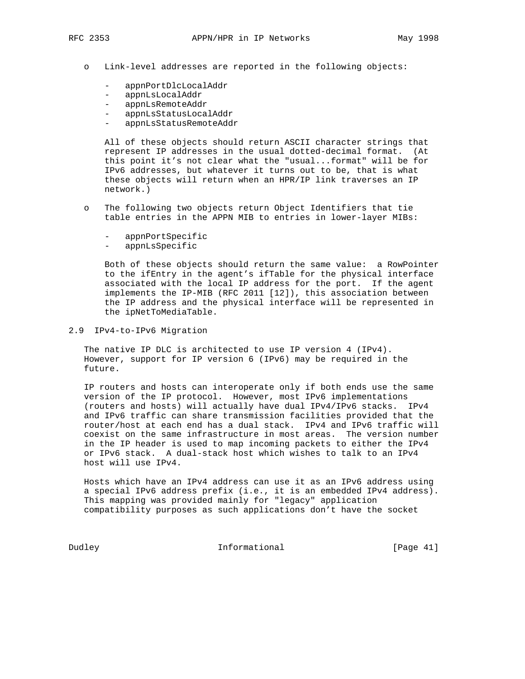- o Link-level addresses are reported in the following objects:
	- appnPortDlcLocalAddr
	- appnLsLocalAddr
	- appnLsRemoteAddr
	- appnLsStatusLocalAddr
	- appnLsStatusRemoteAddr

 All of these objects should return ASCII character strings that represent IP addresses in the usual dotted-decimal format. (At this point it's not clear what the "usual...format" will be for IPv6 addresses, but whatever it turns out to be, that is what these objects will return when an HPR/IP link traverses an IP network.)

- o The following two objects return Object Identifiers that tie table entries in the APPN MIB to entries in lower-layer MIBs:
	- appnPortSpecific
	- appnLsSpecific

 Both of these objects should return the same value: a RowPointer to the ifEntry in the agent's ifTable for the physical interface associated with the local IP address for the port. If the agent implements the IP-MIB (RFC 2011 [12]), this association between the IP address and the physical interface will be represented in the ipNetToMediaTable.

## 2.9 IPv4-to-IPv6 Migration

 The native IP DLC is architected to use IP version 4 (IPv4). However, support for IP version 6 (IPv6) may be required in the future.

 IP routers and hosts can interoperate only if both ends use the same version of the IP protocol. However, most IPv6 implementations (routers and hosts) will actually have dual IPv4/IPv6 stacks. IPv4 and IPv6 traffic can share transmission facilities provided that the router/host at each end has a dual stack. IPv4 and IPv6 traffic will coexist on the same infrastructure in most areas. The version number in the IP header is used to map incoming packets to either the IPv4 or IPv6 stack. A dual-stack host which wishes to talk to an IPv4 host will use IPv4.

 Hosts which have an IPv4 address can use it as an IPv6 address using a special IPv6 address prefix (i.e., it is an embedded IPv4 address). This mapping was provided mainly for "legacy" application compatibility purposes as such applications don't have the socket

Dudley **Informational** [Page 41]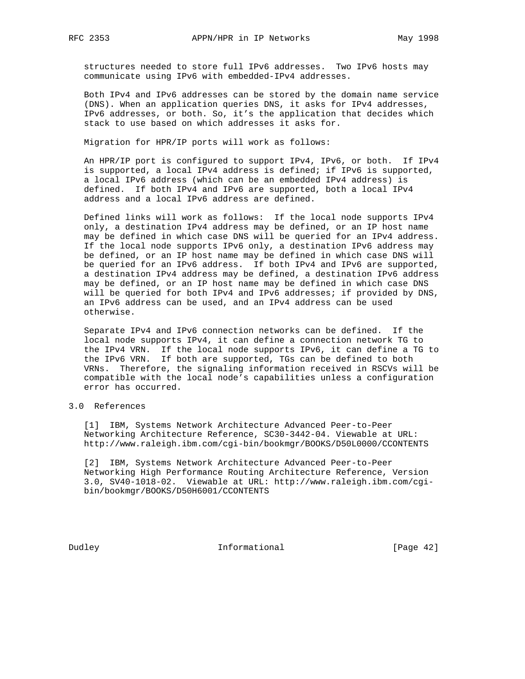structures needed to store full IPv6 addresses. Two IPv6 hosts may communicate using IPv6 with embedded-IPv4 addresses.

 Both IPv4 and IPv6 addresses can be stored by the domain name service (DNS). When an application queries DNS, it asks for IPv4 addresses, IPv6 addresses, or both. So, it's the application that decides which stack to use based on which addresses it asks for.

Migration for HPR/IP ports will work as follows:

 An HPR/IP port is configured to support IPv4, IPv6, or both. If IPv4 is supported, a local IPv4 address is defined; if IPv6 is supported, a local IPv6 address (which can be an embedded IPv4 address) is defined. If both IPv4 and IPv6 are supported, both a local IPv4 address and a local IPv6 address are defined.

 Defined links will work as follows: If the local node supports IPv4 only, a destination IPv4 address may be defined, or an IP host name may be defined in which case DNS will be queried for an IPv4 address. If the local node supports IPv6 only, a destination IPv6 address may be defined, or an IP host name may be defined in which case DNS will be queried for an IPv6 address. If both IPv4 and IPv6 are supported, a destination IPv4 address may be defined, a destination IPv6 address may be defined, or an IP host name may be defined in which case DNS will be queried for both IPv4 and IPv6 addresses; if provided by DNS, an IPv6 address can be used, and an IPv4 address can be used otherwise.

 Separate IPv4 and IPv6 connection networks can be defined. If the local node supports IPv4, it can define a connection network TG to the IPv4 VRN. If the local node supports IPv6, it can define a TG to the IPv6 VRN. If both are supported, TGs can be defined to both VRNs. Therefore, the signaling information received in RSCVs will be compatible with the local node's capabilities unless a configuration error has occurred.

# 3.0 References

 [1] IBM, Systems Network Architecture Advanced Peer-to-Peer Networking Architecture Reference, SC30-3442-04. Viewable at URL: http://www.raleigh.ibm.com/cgi-bin/bookmgr/BOOKS/D50L0000/CCONTENTS

 [2] IBM, Systems Network Architecture Advanced Peer-to-Peer Networking High Performance Routing Architecture Reference, Version 3.0, SV40-1018-02. Viewable at URL: http://www.raleigh.ibm.com/cgi bin/bookmgr/BOOKS/D50H6001/CCONTENTS

Dudley **Informational** [Page 42]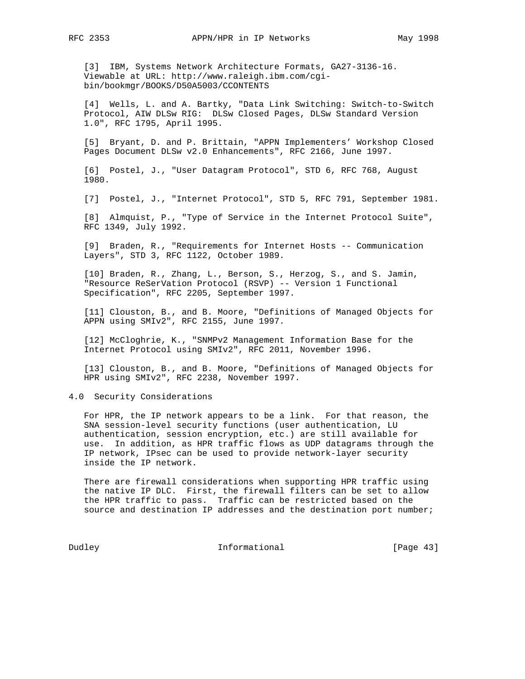[3] IBM, Systems Network Architecture Formats, GA27-3136-16. Viewable at URL: http://www.raleigh.ibm.com/cgi bin/bookmgr/BOOKS/D50A5003/CCONTENTS

 [4] Wells, L. and A. Bartky, "Data Link Switching: Switch-to-Switch Protocol, AIW DLSw RIG: DLSw Closed Pages, DLSw Standard Version 1.0", RFC 1795, April 1995.

 [5] Bryant, D. and P. Brittain, "APPN Implementers' Workshop Closed Pages Document DLSw v2.0 Enhancements", RFC 2166, June 1997.

 [6] Postel, J., "User Datagram Protocol", STD 6, RFC 768, August 1980.

[7] Postel, J., "Internet Protocol", STD 5, RFC 791, September 1981.

 [8] Almquist, P., "Type of Service in the Internet Protocol Suite", RFC 1349, July 1992.

 [9] Braden, R., "Requirements for Internet Hosts -- Communication Layers", STD 3, RFC 1122, October 1989.

 [10] Braden, R., Zhang, L., Berson, S., Herzog, S., and S. Jamin, "Resource ReSerVation Protocol (RSVP) -- Version 1 Functional Specification", RFC 2205, September 1997.

 [11] Clouston, B., and B. Moore, "Definitions of Managed Objects for APPN using SMIv2", RFC 2155, June 1997.

 [12] McCloghrie, K., "SNMPv2 Management Information Base for the Internet Protocol using SMIv2", RFC 2011, November 1996.

 [13] Clouston, B., and B. Moore, "Definitions of Managed Objects for HPR using SMIv2", RFC 2238, November 1997.

4.0 Security Considerations

 For HPR, the IP network appears to be a link. For that reason, the SNA session-level security functions (user authentication, LU authentication, session encryption, etc.) are still available for use. In addition, as HPR traffic flows as UDP datagrams through the IP network, IPsec can be used to provide network-layer security inside the IP network.

 There are firewall considerations when supporting HPR traffic using the native IP DLC. First, the firewall filters can be set to allow the HPR traffic to pass. Traffic can be restricted based on the source and destination IP addresses and the destination port number;

Dudley **Informational** [Page 43]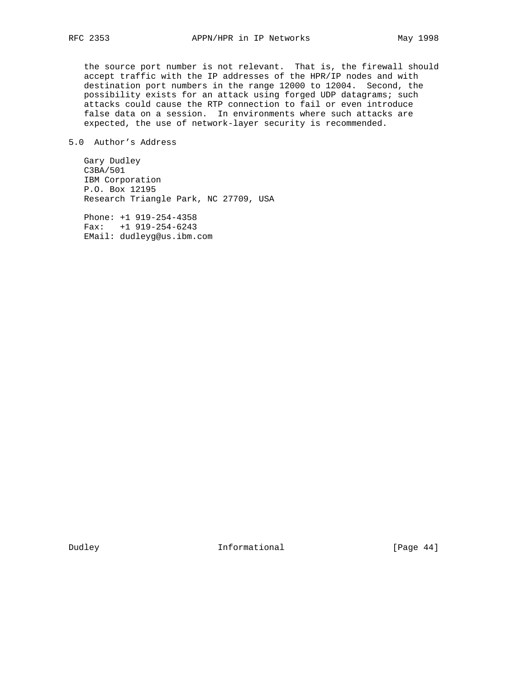the source port number is not relevant. That is, the firewall should accept traffic with the IP addresses of the HPR/IP nodes and with destination port numbers in the range 12000 to 12004. Second, the possibility exists for an attack using forged UDP datagrams; such attacks could cause the RTP connection to fail or even introduce false data on a session. In environments where such attacks are expected, the use of network-layer security is recommended.

# 5.0 Author's Address

 Gary Dudley C3BA/501 IBM Corporation P.O. Box 12195 Research Triangle Park, NC 27709, USA

 Phone: +1 919-254-4358 Fax: +1 919-254-6243 EMail: dudleyg@us.ibm.com

Dudley **Informational** [Page 44]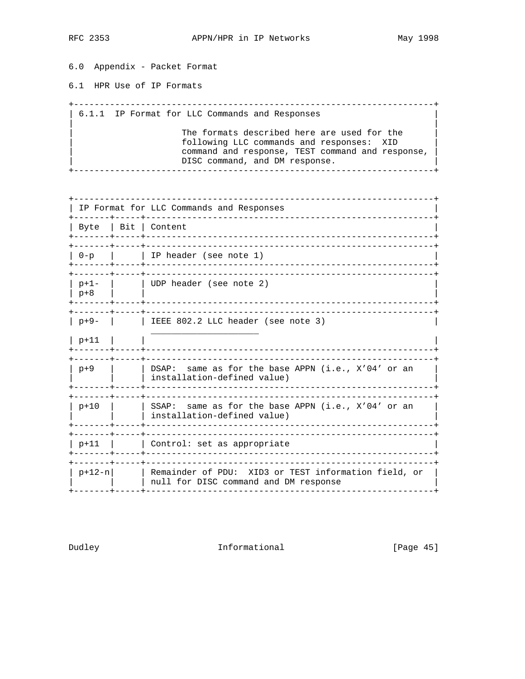6.0 Appendix - Packet Format

6.1 HPR Use of IP Formats

| 6.1.1 IP Format for LLC Commands and Responses The formats described here are used for the following LLC commands and responses: XID command and response, TEST command and response, DISC command, and DM response. 

| IP Format for LLC Commands and Responses<br>-----+--------------------- |  |                                                                                               |
|-------------------------------------------------------------------------|--|-----------------------------------------------------------------------------------------------|
|                                                                         |  | Byte   Bit   Content                                                                          |
|                                                                         |  | ____________________________<br>-------+-----+------------<br>0-p     IP header (see note 1)  |
| p+1-<br>  p+8                                                           |  | UDP header (see note 2)                                                                       |
| -------+----+--                                                         |  | $p+9$ -   $\qquad$   IEEE 802.2 LLC header (see note 3)                                       |
| $ p+11 $                                                                |  | __________________________________                                                            |
| . _ _ _ _ _ _ + _ _ _ .<br>p+9                                          |  | DSAP: same as for the base APPN (i.e., X'04' or an<br>installation-defined value)             |
| p+10                                                                    |  | SSAP: same as for the base APPN (i.e., $X'04'$ or an<br>installation-defined value)           |
| -------+-----+<br>p+11                                                  |  | Control: set as appropriate                                                                   |
| -------+----+---<br>p+12-n                                              |  | Remainder of PDU: XID3 or TEST information field, or<br>null for DISC command and DM response |

Dudley

Informational

[Page 45]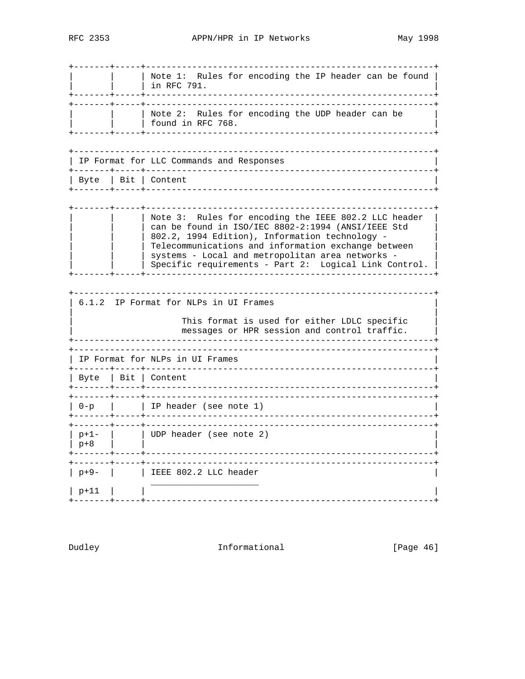| Note 1: Rules for encoding the IP header can be found |  $\frac{1}{2}$  in RFC 791. ----+-----+--------------| Note 2: Rules for encoding the UDP header can be | found in RFC 768. I IP Format for LLC Commands and Responses | Byte | Bit | Content Note 3: Rules for encoding the IEEE 802.2 LLC header can be found in ISO/IEC 8802-2:1994 (ANSI/IEEE Std 802.2, 1994 Edition), Information technology -Telecommunications and information exchange between | systems - Local and metropolitan area networks -| Specific requirements - Part 2: Logical Link Control. | -----------------------------------+-----+---6.1.2 IP Format for NLPs in UI Frames This format is used for either LDLC specific messages or HPR session and control traffic. \_\_\_\_\_\_\_\_\_\_\_\_\_\_\_\_\_\_\_\_\_\_\_\_\_\_\_\_\_\_ IP Format for NLPs in UI Frames | Byte | Bit | Content +-------+-----+---| 0-p | | | IP header (see note 1) | UDP header (see note 2)<br>|  $|p+1-|$  $|p+8|$  $|p+9-|$  | IEEE 802.2 LLC header  $|p+11|$ 

Dudley

Informational

[Page 46]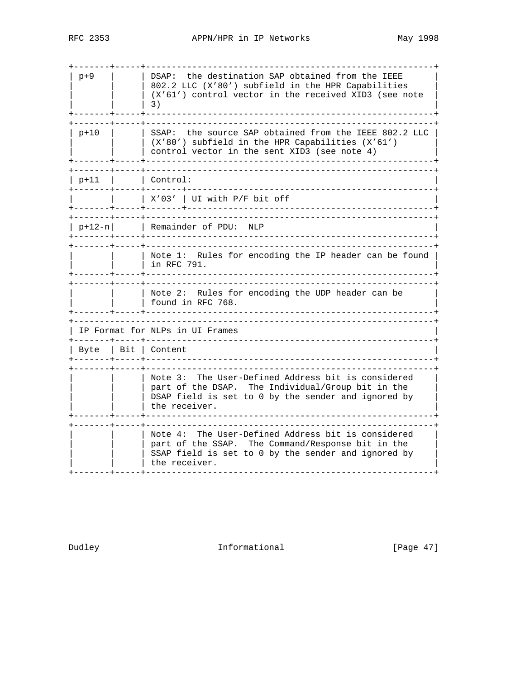| $p+9$    | the destination SAP obtained from the IEEE<br>DSAP:<br>802.2 LLC (X'80') subfield in the HPR Capabilities<br>$(X'61')$ control vector in the received XID3 (see note<br>3)         |
|----------|------------------------------------------------------------------------------------------------------------------------------------------------------------------------------------|
| p+10     | SSAP: the source SAP obtained from the IEEE 802.2 LLC<br>(X'80') subfield in the HPR Capabilities (X'61')<br>control vector in the sent XID3 (see note 4)                          |
| p+11     | l Control:                                                                                                                                                                         |
|          | $- + + - - - - - -$<br>$X'03'$   UI with P/F bit off<br>-----------------------------                                                                                              |
| $p+12-n$ | _______________<br>Remainder of PDU: NLP<br>+-----------------------------------                                                                                                   |
|          | Note 1: Rules for encoding the IP header can be found<br>in RFC 791.                                                                                                               |
|          | Note 2: Rules for encoding the UDP header can be<br>found in RFC 768.                                                                                                              |
|          | IP Format for NLPs in UI Frames                                                                                                                                                    |
| Byte     | Bit   Content                                                                                                                                                                      |
|          | The User-Defined Address bit is considered<br>Note 3:<br>part of the DSAP. The Individual/Group bit in the<br>DSAP field is set to 0 by the sender and ignored by<br>the receiver. |
|          | The User-Defined Address bit is considered<br>Note 4:<br>part of the SSAP. The Command/Response bit in the<br>SSAP field is set to 0 by the sender and ignored by<br>the receiver. |

Dudley **Informational** [Page 47]